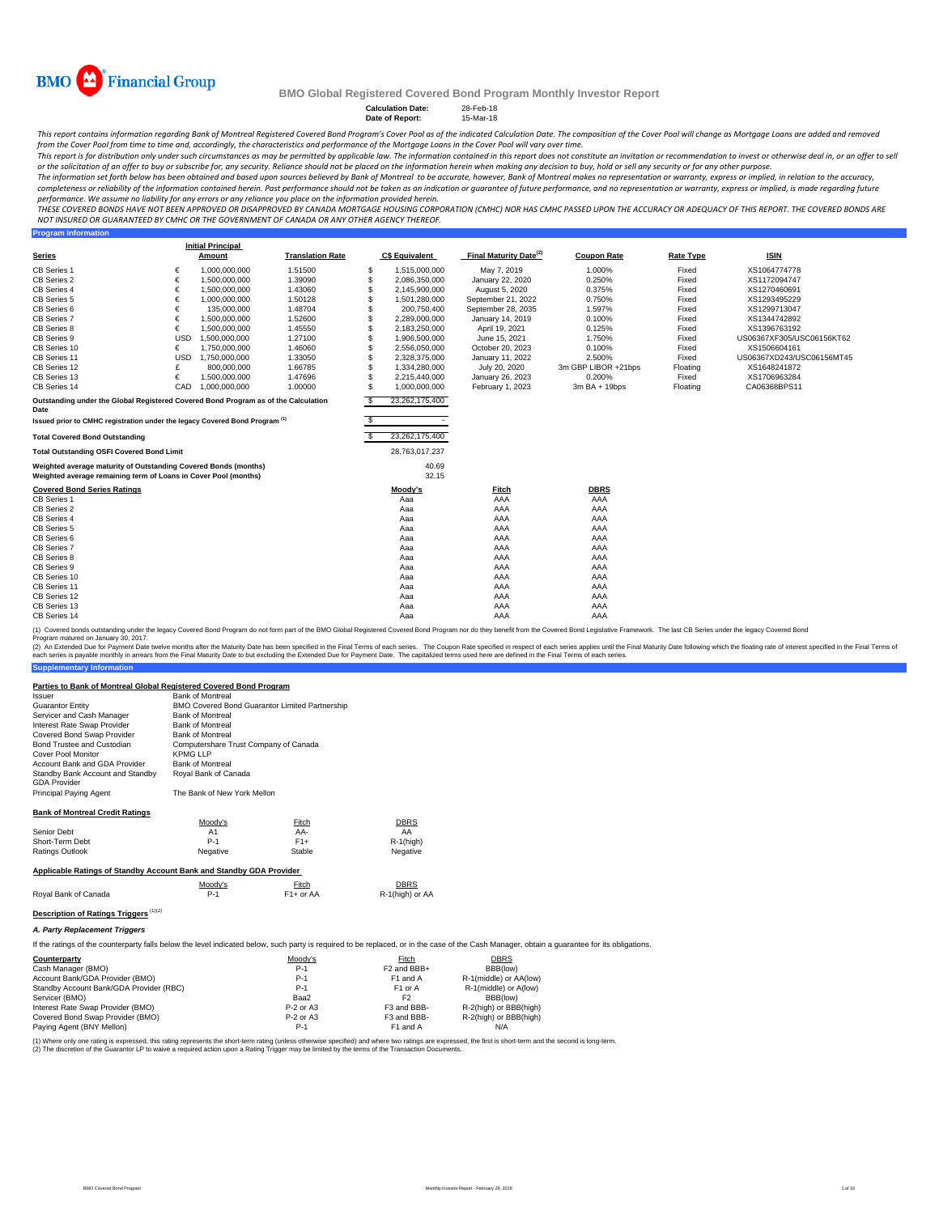

**Program Information**

#### **BMO Global Registered Covered Bond Program Monthly Investor Report**

**Calculation Date:** 28-Feb-18 **Date of Report:** 15-Mar-18

This report contains information regarding Bank of Montreal Registered Covered Bond Program's Cover Pool as of the indicated Calculation Date. The composition of the Cover Pool will change as Mortgage Loans are added and r from the Cover Pool from time to time and, accordingly, the characteristics and performance of the Mortgage Loans in the Cover Pool will vary over time.

This report is for distribution only under such circumstances as may be permitted by applicable law. The information contained in this report does not constitute an invitation or recommendation to invest or otherwise deal

The information set forth below has been obtained and based upon sources believed by Bank of Montreal to be accurate, however, Bank of Montreal makes no representation or warranty, express or implied, in relation to the ac completeness or reliability of the information contained herein. Past performance should not be taken as an indication or guarantee of future performance, and no representation or warranty, express or implied, is made rega performance. We assume no liability for any errors or any reliance you place on the information provided herein.

THESE COVERED BONDS HAVE NOT BEEN APPROVED OR DISAPPROVED BY CANADA MORTGAGE HOUSING CORPORATION (CMHC) NOR HAS CMHC PASSED UPON THE ACCURACY OR ADEQUACY OF THIS REPORT. THE COVERED BONDS ARE<br>NOT INSURED OR GUARANTEED BY C

|                                                                                                                                    |            | <b>Initial Principal</b> |                         |          |                       |                                           |                     |                  |                           |
|------------------------------------------------------------------------------------------------------------------------------------|------------|--------------------------|-------------------------|----------|-----------------------|-------------------------------------------|---------------------|------------------|---------------------------|
| <b>Series</b>                                                                                                                      |            | Amount                   | <b>Translation Rate</b> |          | <b>C\$ Equivalent</b> | <b>Final Maturity Date</b> <sup>(2)</sup> | <b>Coupon Rate</b>  | <b>Rate Type</b> | <b>ISIN</b>               |
| CB Series 1                                                                                                                        | €          | 1,000,000,000            | 1.51500                 | S        | 1,515,000,000         | May 7, 2019                               | 1.000%              | Fixed            | XS1064774778              |
| CB Series 2                                                                                                                        | €          | 1,500,000,000            | 1.39090                 | S        | 2,086,350,000         | January 22, 2020                          | 0.250%              | Fixed            | XS1172094747              |
| CB Series 4                                                                                                                        | €          | 1,500,000,000            | 1.43060                 | S        | 2,145,900,000         | August 5, 2020                            | 0.375%              | Fixed            | XS1270460691              |
| CB Series 5                                                                                                                        | €          | 1,000,000,000            | 1.50128                 | S        | 1,501,280,000         | September 21, 2022                        | 0.750%              | Fixed            | XS1293495229              |
| CB Series 6                                                                                                                        | €          | 135,000,000              | 1.48704                 | S        | 200,750,400           | September 28, 2035                        | 1.597%              | Fixed            | XS1299713047              |
| CB Series 7                                                                                                                        | €          | 1,500,000,000            | 1.52600                 | S        | 2,289,000,000         | January 14, 2019                          | 0.100%              | Fixed            | XS1344742892              |
| CB Series 8                                                                                                                        | €          | 1.500.000.000            | 1.45550                 | S        | 2,183,250,000         | April 19, 2021                            | 0.125%              | Fixed            | XS1396763192              |
| CB Series 9                                                                                                                        | <b>USD</b> | 1,500,000,000            | 1.27100                 | S        | 1,906,500,000         | June 15, 2021                             | 1.750%              | Fixed            | US06367XF305/USC06156KT62 |
| CB Series 10                                                                                                                       | €          | 1,750,000,000            | 1.46060                 | S        | 2,556,050,000         | October 20, 2023                          | 0.100%              | Fixed            | XS1506604161              |
| CB Series 11                                                                                                                       | <b>USD</b> | 1,750,000,000            | 1.33050                 | S        | 2,328,375,000         | January 11, 2022                          | 2.500%              | Fixed            | US06367XD243/USC06156MT45 |
| CB Series 12                                                                                                                       |            | 800,000,000              | 1.66785                 | \$.      | 1,334,280,000         | July 20, 2020                             | 3m GBP LIBOR +21bps | Floating         | XS1648241872              |
| CB Series 13                                                                                                                       | €          | 1,500,000,000            | 1.47696                 | \$.      | 2,215,440,000         | January 26, 2023                          | 0.200%              | Fixed            | XS1706963284              |
| CB Series 14                                                                                                                       | CAD        | 1,000,000,000            | 1.00000                 | \$.      | 1,000,000,000         | February 1, 2023                          | $3mBA + 19bps$      | Floating         | CA06368BPS11              |
| Outstanding under the Global Registered Covered Bond Program as of the Calculation<br>Date                                         |            |                          |                         | £.       | 23,262,175,400        |                                           |                     |                  |                           |
| Issued prior to CMHC registration under the legacy Covered Bond Program <sup>(1)</sup>                                             |            |                          |                         | \$.      |                       |                                           |                     |                  |                           |
|                                                                                                                                    |            |                          |                         |          |                       |                                           |                     |                  |                           |
| <b>Total Covered Bond Outstanding</b>                                                                                              |            |                          |                         | <b>S</b> | 23,262,175,400        |                                           |                     |                  |                           |
| <b>Total Outstanding OSFI Covered Bond Limit</b>                                                                                   |            |                          |                         |          | 28,763,017,237        |                                           |                     |                  |                           |
| Weighted average maturity of Outstanding Covered Bonds (months)<br>Weighted average remaining term of Loans in Cover Pool (months) |            |                          |                         |          | 40.69<br>32.15        |                                           |                     |                  |                           |
| <b>Covered Bond Series Ratings</b>                                                                                                 |            |                          |                         |          | Moody's               | Fitch                                     | <b>DBRS</b>         |                  |                           |
| CB Series 1                                                                                                                        |            |                          |                         |          | Aaa                   | AAA                                       | AAA                 |                  |                           |
| CB Series 2                                                                                                                        |            |                          |                         |          | Aaa                   | AAA                                       | AAA                 |                  |                           |
| CB Series 4                                                                                                                        |            |                          |                         |          | Aaa                   | AAA                                       | AAA                 |                  |                           |
| CB Series 5                                                                                                                        |            |                          |                         |          | Aaa                   | AAA                                       | AAA                 |                  |                           |
| CB Series 6                                                                                                                        |            |                          |                         |          | Aaa                   | AAA                                       | AAA                 |                  |                           |
| CB Series 7                                                                                                                        |            |                          |                         |          | Aaa                   | AAA                                       | AAA                 |                  |                           |
| CB Series 8                                                                                                                        |            |                          |                         |          | Aaa                   | AAA                                       | AAA                 |                  |                           |
| CB Series 9                                                                                                                        |            |                          |                         |          | Aaa                   | AAA                                       | AAA                 |                  |                           |
| CB Series 10                                                                                                                       |            |                          |                         |          | Aaa                   | AAA                                       | AAA                 |                  |                           |
| CB Series 11                                                                                                                       |            |                          |                         |          | Aaa                   | AAA                                       | AAA                 |                  |                           |
| CB Series 12                                                                                                                       |            |                          |                         |          | Aaa                   | AAA                                       | AAA                 |                  |                           |
| CB Series 13                                                                                                                       |            |                          |                         |          | Aaa                   | AAA                                       | AAA                 |                  |                           |
| CB Series 14                                                                                                                       |            |                          |                         |          | Aaa                   | AAA                                       | AAA                 |                  |                           |

(1) Covered bonds outstanding under the legacy Covered Bond Program do not form part of the BMO Global Registered Covered Bond Program nor do they benefit from the Covered Bond Legislative Framework. The last CB Series und Program matured on January 30, 2017.

**Supplementary Information** (2) An Extended Due for Payment Date twelve months after the Maturity Date has been specified in the Final Terms of each series. The Coupon Rate specified in the Sinal Maturity Date tolet on the Final Maturity Date to but

#### **Parties to Bank of Montreal Global Registered Covered Bond Program**

| Issuer                                                  | <b>Bank of Montreal</b>               |                                                |             |
|---------------------------------------------------------|---------------------------------------|------------------------------------------------|-------------|
| <b>Guarantor Entity</b>                                 |                                       | BMO Covered Bond Guarantor Limited Partnership |             |
| Servicer and Cash Manager                               | <b>Bank of Montreal</b>               |                                                |             |
| Interest Rate Swap Provider                             | <b>Bank of Montreal</b>               |                                                |             |
| Covered Bond Swap Provider                              | <b>Bank of Montreal</b>               |                                                |             |
| Bond Trustee and Custodian                              | Computershare Trust Company of Canada |                                                |             |
| Cover Pool Monitor                                      | <b>KPMGLLP</b>                        |                                                |             |
| Account Bank and GDA Provider                           | <b>Bank of Montreal</b>               |                                                |             |
| Standby Bank Account and Standby<br><b>GDA Provider</b> | Roval Bank of Canada                  |                                                |             |
| Principal Paying Agent                                  | The Bank of New York Mellon           |                                                |             |
| <b>Bank of Montreal Credit Ratings</b>                  |                                       |                                                |             |
|                                                         | Moodv's                               | Fitch                                          | <b>DBRS</b> |

|                 | iviuu v  | .<br>$\sim$ | $rac{1}{2}$ |
|-----------------|----------|-------------|-------------|
| Senior Debt     | A1       | AA-         | AA          |
| Short-Term Debt | $P-1$    | $F1+$       | R-1(high)   |
| Ratings Outlook | Negative | Stable      | Negative    |
|                 |          |             |             |

#### **Applicable Ratings of Standby Account Bank and Standby GDA Provider**

|                      | Moody's | Fitch     | <b>DBRS</b>     |
|----------------------|---------|-----------|-----------------|
| Royal Bank of Canada | P.1     | F1+ or AA | R-1(high) or AA |
|                      |         |           |                 |

# **Description of Ratings Triggers** (1)(2)

*A. Party Replacement Triggers*

If the ratings of the counterparty falls below the level indicated below, such party is required to be replaced, or in the case of the Cash Manager, obtain a quarantee for its obligations.

| Counterparty                            | Moody's     | Fitch                   | <b>DBRS</b>            |  |
|-----------------------------------------|-------------|-------------------------|------------------------|--|
| Cash Manager (BMO)                      | $P-1$       | F <sub>2</sub> and BBB+ | BBB(low)               |  |
| Account Bank/GDA Provider (BMO)         | $P-1$       | F1 and A                | R-1(middle) or AA(low) |  |
| Standby Account Bank/GDA Provider (RBC) | $P-1$       | F <sub>1</sub> or A     | R-1(middle) or A(low)  |  |
| Servicer (BMO)                          | Baa2        | F <sub>2</sub>          | BBB(low)               |  |
| Interest Rate Swap Provider (BMO)       | P-2 or A3   | F3 and BBB-             | R-2(high) or BBB(high) |  |
| Covered Bond Swap Provider (BMO)        | $P-2$ or A3 | F3 and BBB-             | R-2(high) or BBB(high) |  |
| Paying Agent (BNY Mellon)               | $P-1$       | F1 and A                | N/A                    |  |

(1) Where only one rating is expressed, this rating represents the short-term rating (unless otherwise specified) and where two ratings are expressed, the first is short-term and the second is long-term.<br>(2) The discretion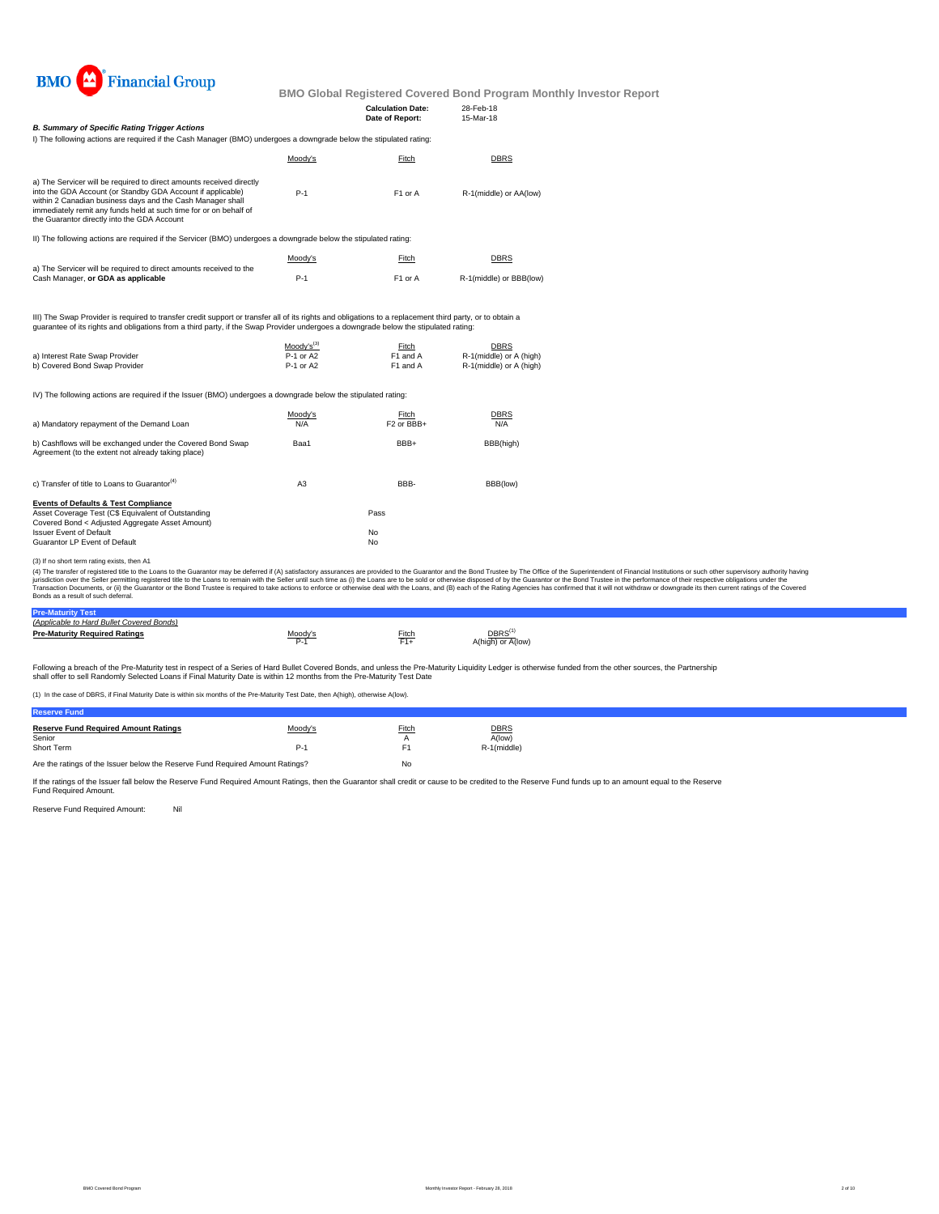

|                                                                                                                                                                                                                                                                                                                                     |                        | <b>Calculation Date:</b><br>Date of Report: | 28-Feb-18<br>15-Mar-18                             |                                                                                                                                                                                                                                                                                                                                                                                                                                                                  |
|-------------------------------------------------------------------------------------------------------------------------------------------------------------------------------------------------------------------------------------------------------------------------------------------------------------------------------------|------------------------|---------------------------------------------|----------------------------------------------------|------------------------------------------------------------------------------------------------------------------------------------------------------------------------------------------------------------------------------------------------------------------------------------------------------------------------------------------------------------------------------------------------------------------------------------------------------------------|
| <b>B. Summary of Specific Rating Trigger Actions</b><br>I) The following actions are required if the Cash Manager (BMO) undergoes a downgrade below the stipulated rating:                                                                                                                                                          |                        |                                             |                                                    |                                                                                                                                                                                                                                                                                                                                                                                                                                                                  |
|                                                                                                                                                                                                                                                                                                                                     | Moody's                | Fitch                                       | <b>DBRS</b>                                        |                                                                                                                                                                                                                                                                                                                                                                                                                                                                  |
| a) The Servicer will be required to direct amounts received directly<br>into the GDA Account (or Standby GDA Account if applicable)<br>within 2 Canadian business days and the Cash Manager shall<br>immediately remit any funds held at such time for or on behalf of<br>the Guarantor directly into the GDA Account               | $P-1$                  | F1 or A                                     | R-1(middle) or AA(low)                             |                                                                                                                                                                                                                                                                                                                                                                                                                                                                  |
| II) The following actions are required if the Servicer (BMO) undergoes a downgrade below the stipulated rating:                                                                                                                                                                                                                     |                        |                                             |                                                    |                                                                                                                                                                                                                                                                                                                                                                                                                                                                  |
|                                                                                                                                                                                                                                                                                                                                     | Moody's                | Fitch                                       | DBRS                                               |                                                                                                                                                                                                                                                                                                                                                                                                                                                                  |
| a) The Servicer will be required to direct amounts received to the<br>Cash Manager, or GDA as applicable                                                                                                                                                                                                                            | $P-1$                  | F1 or A                                     | R-1(middle) or BBB(low)                            |                                                                                                                                                                                                                                                                                                                                                                                                                                                                  |
| III) The Swap Provider is required to transfer credit support or transfer all of its rights and obligations to a replacement third party, or to obtain a<br>quarantee of its rights and obligations from a third party, if the Swap Provider undergoes a downgrade below the stipulated rating:                                     |                        |                                             |                                                    |                                                                                                                                                                                                                                                                                                                                                                                                                                                                  |
|                                                                                                                                                                                                                                                                                                                                     | $Mody's^{(3)}$         | Fitch                                       | <b>DBRS</b>                                        |                                                                                                                                                                                                                                                                                                                                                                                                                                                                  |
| a) Interest Rate Swap Provider<br>b) Covered Bond Swap Provider                                                                                                                                                                                                                                                                     | P-1 or A2<br>P-1 or A2 | F1 and A<br>F1 and A                        | R-1(middle) or A (high)<br>R-1(middle) or A (high) |                                                                                                                                                                                                                                                                                                                                                                                                                                                                  |
| IV) The following actions are required if the Issuer (BMO) undergoes a downgrade below the stipulated rating:                                                                                                                                                                                                                       |                        |                                             |                                                    |                                                                                                                                                                                                                                                                                                                                                                                                                                                                  |
| a) Mandatory repayment of the Demand Loan                                                                                                                                                                                                                                                                                           | Moody's<br>N/A         | Fitch<br>F2 or BBB+                         | <b>DBRS</b><br>N/A                                 |                                                                                                                                                                                                                                                                                                                                                                                                                                                                  |
| b) Cashflows will be exchanged under the Covered Bond Swap<br>Agreement (to the extent not already taking place)                                                                                                                                                                                                                    | Baa1                   | BBB+                                        | BBB(high)                                          |                                                                                                                                                                                                                                                                                                                                                                                                                                                                  |
| c) Transfer of title to Loans to Guarantor <sup>(4)</sup>                                                                                                                                                                                                                                                                           | A <sub>3</sub>         | BBB-                                        | BBB(low)                                           |                                                                                                                                                                                                                                                                                                                                                                                                                                                                  |
| <b>Events of Defaults &amp; Test Compliance</b><br>Asset Coverage Test (C\$ Equivalent of Outstanding<br>Covered Bond < Adjusted Aggregate Asset Amount)                                                                                                                                                                            |                        | Pass                                        |                                                    |                                                                                                                                                                                                                                                                                                                                                                                                                                                                  |
| <b>Issuer Event of Default</b><br>Guarantor LP Event of Default                                                                                                                                                                                                                                                                     |                        | No<br>No                                    |                                                    |                                                                                                                                                                                                                                                                                                                                                                                                                                                                  |
| (3) If no short term rating exists, then A1<br>jurisdiction over the Seller permitting registered title to the Loans to remain with the Seller until such time as (i) the Loans are to be sold or otherwise disposed of by the Guarantor or the Bond Trustee in the performan<br>Bonds as a result of such deferral.                |                        |                                             |                                                    | (4) The transfer of registered title to the Loans to the Guarantor may be deferred if (A) satisfactory assurances are provided to the Guarantor and the Bond Trustee by The Office of the Superintendent of Financial Institut<br>Transaction Documents, or (ii) the Guarantor or the Bond Trustee is required to take actions to enforce or otherwise deal with the Loans, and (B) each of the Rating Agencies has confirmed that it will not withdraw or downg |
| <b>Pre-Maturity Test</b><br>(Applicable to Hard Bullet Covered Bonds)                                                                                                                                                                                                                                                               |                        |                                             |                                                    |                                                                                                                                                                                                                                                                                                                                                                                                                                                                  |
| <b>Pre-Maturity Required Ratings</b>                                                                                                                                                                                                                                                                                                | Moody's<br>$P-1$       | <b>Fitch</b><br>$F1+$                       | DBRS <sup>(1)</sup><br>A(high) or A(low)           |                                                                                                                                                                                                                                                                                                                                                                                                                                                                  |
| Following a breach of the Pre-Maturity test in respect of a Series of Hard Bullet Covered Bonds, and unless the Pre-Maturity Liquidity Ledger is otherwise funded from the other sources, the Partnership<br>shall offer to sell Randomly Selected Loans if Final Maturity Date is within 12 months from the Pre-Maturity Test Date |                        |                                             |                                                    |                                                                                                                                                                                                                                                                                                                                                                                                                                                                  |
| (1) In the case of DBRS, if Final Maturity Date is within six months of the Pre-Maturity Test Date, then A(high), otherwise A(low).                                                                                                                                                                                                 |                        |                                             |                                                    |                                                                                                                                                                                                                                                                                                                                                                                                                                                                  |

Are the ratings of the Issuer below the Reserve Fund Required Amount Ratings? No

If the ratings of the Issuer fall below the Reserve Fund Required Amount Ratings, then the Guarantor shall credit or cause to be credited to the Reserve Fund funds up to an amount equal to the Reserve Fund Required Amount.

Reserve Fund Required Amount: Nil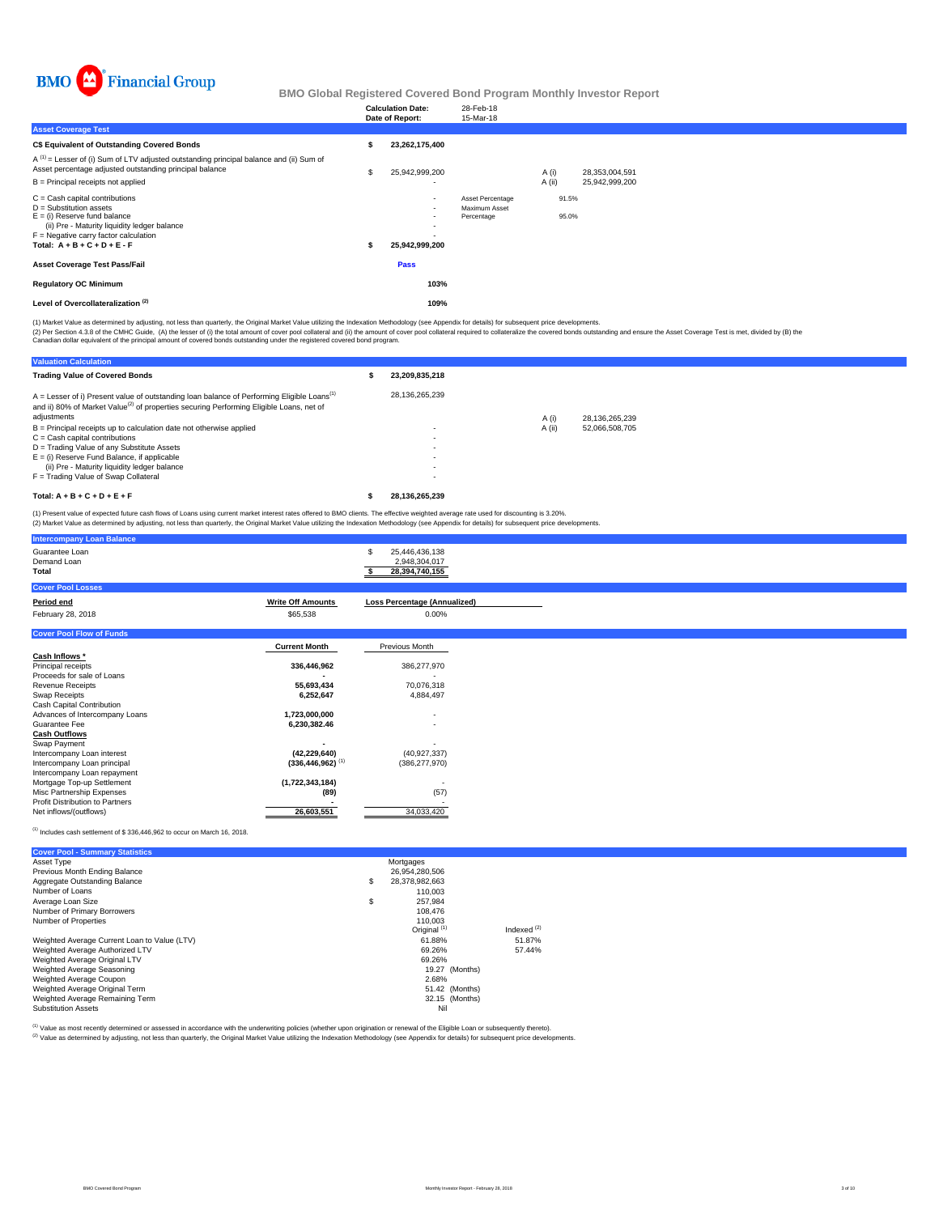

|                                                                                                                                                                                                                              | <b>Calculation Date:</b><br>Date of Report: | 28-Feb-18<br>15-Mar-18                          |                |                |  |  |
|------------------------------------------------------------------------------------------------------------------------------------------------------------------------------------------------------------------------------|---------------------------------------------|-------------------------------------------------|----------------|----------------|--|--|
| <b>Asset Coverage Test</b>                                                                                                                                                                                                   |                                             |                                                 |                |                |  |  |
| C\$ Equivalent of Outstanding Covered Bonds                                                                                                                                                                                  | 23,262,175,400                              |                                                 |                |                |  |  |
| $A^{(1)}$ = Lesser of (i) Sum of LTV adjusted outstanding principal balance and (ii) Sum of<br>Asset percentage adjusted outstanding principal balance                                                                       | 25,942,999,200                              |                                                 | A (i)          | 28,353,004,591 |  |  |
| B = Principal receipts not applied                                                                                                                                                                                           | ۰                                           |                                                 | A (ii)         | 25,942,999,200 |  |  |
| $C =$ Cash capital contributions<br>$D =$ Substitution assets<br>$E =$ (i) Reserve fund balance<br>(ii) Pre - Maturity liquidity ledger balance<br>$F =$ Negative carry factor calculation<br>Total: $A + B + C + D + E - F$ | $\sim$<br>۰<br>25,942,999,200               | Asset Percentage<br>Maximum Asset<br>Percentage | 91.5%<br>95.0% |                |  |  |
| <b>Asset Coverage Test Pass/Fail</b>                                                                                                                                                                                         | Pass                                        |                                                 |                |                |  |  |
| <b>Regulatory OC Minimum</b>                                                                                                                                                                                                 | 103%                                        |                                                 |                |                |  |  |
| Level of Overcollateralization <sup>(2)</sup>                                                                                                                                                                                | 109%                                        |                                                 |                |                |  |  |

(1) Market Value as determined by adjusting, not less than quarterly, the Original Market Value utilizing the Indexation Methodology (see Appendix for details) for subsequent price developments.

(2) Per Section 4.3.8 of the CMHC Guide, (A) the lesser of (i) the total amount of cover pool collateral and (ii) the amount of cover pool collateral required to collateralize the covered bonds outstanding and ensure the A

| <b>Valuation Calculation</b>                                                                                                                                                                                    |                |        |                |
|-----------------------------------------------------------------------------------------------------------------------------------------------------------------------------------------------------------------|----------------|--------|----------------|
| <b>Trading Value of Covered Bonds</b>                                                                                                                                                                           | 23.209.835.218 |        |                |
| $A =$ Lesser of i) Present value of outstanding loan balance of Performing Eligible Loans <sup>(1)</sup><br>and ii) 80% of Market Value <sup>(2)</sup> of properties securing Performing Eligible Loans, net of | 28.136.265.239 |        |                |
| adjustments                                                                                                                                                                                                     |                | A (i)  | 28.136.265.239 |
| $B =$ Principal receipts up to calculation date not otherwise applied                                                                                                                                           |                | A (ii) | 52.066.508.705 |
| $C =$ Cash capital contributions                                                                                                                                                                                | ٠              |        |                |
| D = Trading Value of any Substitute Assets                                                                                                                                                                      | ٠              |        |                |
| $E =$ (i) Reserve Fund Balance, if applicable                                                                                                                                                                   |                |        |                |
| (ii) Pre - Maturity liquidity ledger balance                                                                                                                                                                    |                |        |                |
| F = Trading Value of Swap Collateral                                                                                                                                                                            |                |        |                |
| Total: $A + B + C + D + E + F$                                                                                                                                                                                  | 28.136.265.239 |        |                |

(1) Present value of expected future cash flows of Loans using current market interest rates offered to BMO clients. The effective weighted average rate used for discounting is 3.20%.<br>(2) Market Value as determined by adju

| <b>Intercompany Loan Balance</b>              |                                  |                                                        |
|-----------------------------------------------|----------------------------------|--------------------------------------------------------|
| Guarantee Loan<br>Demand Loan<br><b>Total</b> |                                  | 25,446,436,138<br>s<br>2,948,304,017<br>28,394,740,155 |
| <b>Cover Pool Losses</b>                      |                                  |                                                        |
| Period end                                    | <b>Write Off Amounts</b>         | <b>Loss Percentage (Annualized)</b>                    |
| February 28, 2018                             | \$65,538                         | $0.00\%$                                               |
| <b>Cover Pool Flow of Funds</b>               |                                  |                                                        |
|                                               | <b>Current Month</b>             | Previous Month                                         |
| Cash Inflows *                                |                                  |                                                        |
| Principal receipts                            | 336,446,962                      | 386,277,970                                            |
| Proceeds for sale of Loans                    |                                  |                                                        |
| <b>Revenue Receipts</b>                       | 55,693,434                       | 70,076,318                                             |
| Swap Receipts                                 | 6,252,647                        | 4,884,497                                              |
| Cash Capital Contribution                     |                                  |                                                        |
| Advances of Intercompany Loans                | 1,723,000,000                    | ٠                                                      |
| Guarantee Fee                                 | 6,230,382.46                     | $\overline{\phantom{a}}$                               |
| <b>Cash Outflows</b>                          |                                  |                                                        |
| Swap Payment                                  |                                  |                                                        |
| Intercompany Loan interest                    | (42, 229, 640)                   | (40, 927, 337)                                         |
| Intercompany Loan principal                   | $(336, 446, 962)$ <sup>(1)</sup> | (386, 277, 970)                                        |
| Intercompany Loan repayment                   |                                  |                                                        |
| Mortgage Top-up Settlement                    | (1,722,343,184)                  |                                                        |
| Misc Partnership Expenses                     | (89)                             | (57)                                                   |
| Profit Distribution to Partners               |                                  |                                                        |
| Net inflows/(outflows)                        | 26,603,551                       | 34,033,420                                             |

### (1) Includes cash settlement of \$ 336,446,962 to occur on March 16, 2018.

| <b>Cover Pool - Summary Statistics</b>       |                         |               |
|----------------------------------------------|-------------------------|---------------|
| Asset Type                                   | Mortgages               |               |
| Previous Month Ending Balance                | 26.954.280.506          |               |
| Aggregate Outstanding Balance                | \$<br>28.378.982.663    |               |
| Number of Loans                              | 110.003                 |               |
| Average Loan Size                            | \$<br>257.984           |               |
| Number of Primary Borrowers                  | 108,476                 |               |
| Number of Properties                         | 110.003                 |               |
|                                              | Original <sup>(1)</sup> | Indexed $(2)$ |
| Weighted Average Current Loan to Value (LTV) | 61.88%                  | 51.87%        |
| Weighted Average Authorized LTV              | 69.26%                  | 57.44%        |
| Weighted Average Original LTV                | 69.26%                  |               |
| Weighted Average Seasoning                   | 19.27 (Months)          |               |
| Weighted Average Coupon                      | 2.68%                   |               |
| Weighted Average Original Term               | 51.42 (Months)          |               |
| Weighted Average Remaining Term              | 32.15 (Months)          |               |
| <b>Substitution Assets</b>                   | Nil                     |               |

(1) Value as most recently determined or assessed in accordance with the underwriting policies (whether upon origination or renewal of the Eligible Loan or subsequently thereto).

Value as incorrection documents of documents in the children as the children of the United States of the Indexation Methodology (see Appendix for details) for subsequent price developments.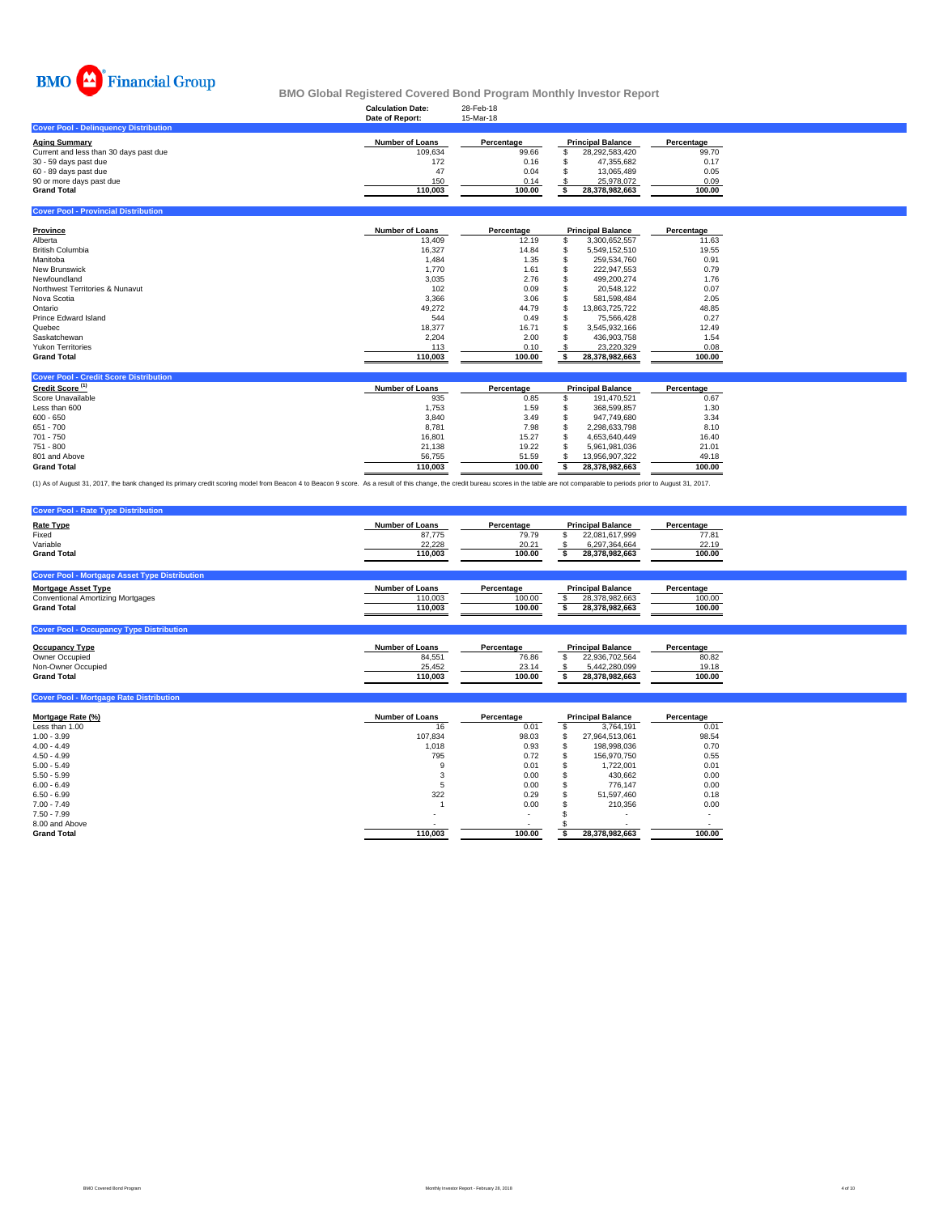

### **Calculation Date:** 28-Feb-18 **BMO Global Registered Covered Bond Program Monthly Investor Report**

|                                              | Date of Report: | 15-Mar-18  |                          |            |
|----------------------------------------------|-----------------|------------|--------------------------|------------|
| <b>Cover Pool - Delinguency Distribution</b> |                 |            |                          |            |
| Aging Summarv                                | Number of Loans | Percentage | <b>Principal Balance</b> | Percentage |
| Current and less than 30 days past due       | 109.634         | 99.66      | 28.292.583.420           | 99.70      |
| 30 - 59 days past due                        | 172             | 0.16       | 47.355.682               | 0.17       |
| 60 - 89 days past due                        | 47              | 0.04       | 13.065.489               | 0.05       |
| 90 or more days past due                     | 150             | 0.14       | 25.978.072               | 0.09       |
| Grand Total                                  | 110.003         | 100.00     | 28.378.982.663           | 100.00     |
|                                              |                 |            |                          |            |

**Cover Pool - Provincial Distribution**

| Province                        | <b>Number of Loans</b> | Percentage | <b>Principal Balance</b> | Percentage |
|---------------------------------|------------------------|------------|--------------------------|------------|
| Alberta                         | 13,409                 | 12.19      | 3.300.652.557            | 11.63      |
| <b>British Columbia</b>         | 16.327                 | 14.84      | 5.549.152.510            | 19.55      |
| Manitoba                        | 1,484                  | 1.35       | 259.534.760              | 0.91       |
| <b>New Brunswick</b>            | 1,770                  | 1.61       | 222.947.553              | 0.79       |
| Newfoundland                    | 3.035                  | 2.76       | 499.200.274              | 1.76       |
| Northwest Territories & Nunavut | 102                    | 0.09       | 20.548.122               | 0.07       |
| Nova Scotia                     | 3,366                  | 3.06       | 581.598.484              | 2.05       |
| Ontario                         | 49,272                 | 44.79      | 13.863.725.722           | 48.85      |
| Prince Edward Island            | 544                    | 0.49       | 75.566.428               | 0.27       |
| Quebec                          | 18,377                 | 16.71      | 3.545.932.166            | 12.49      |
| Saskatchewan                    | 2,204                  | 2.00       | 436.903.758              | 1.54       |
| <b>Yukon Territories</b>        | 113                    | 0.10       | 23.220.329               | 0.08       |
| <b>Grand Total</b>              | 110,003                | 100.00     | 28,378,982,663           | 100.00     |

| <b>Cover Pool - Credit Score Distribution</b> |                        |            |                          |            |
|-----------------------------------------------|------------------------|------------|--------------------------|------------|
| Credit Score <sup>(1)</sup>                   | <b>Number of Loans</b> | Percentage | <b>Principal Balance</b> | Percentage |
| Score Unavailable                             | 935                    | 0.85       | 191.470.521              | 0.67       |
| Less than 600                                 | 1.753                  | 1.59       | 368.599.857              | 1.30       |
| $600 - 650$                                   | 3.840                  | 3.49       | 947.749.680              | 3.34       |
| 651 - 700                                     | 8.781                  | 7.98       | 2.298.633.798            | 8.10       |
| 701 - 750                                     | 16,801                 | 15.27      | 4.653.640.449            | 16.40      |
| 751 - 800                                     | 21.138                 | 19.22      | 5.961.981.036            | 21.01      |
| 801 and Above                                 | 56.755                 | 51.59      | 13.956.907.322           | 49.18      |
| <b>Grand Total</b>                            | 110.003                | 100.00     | 28.378.982.663           | 100.00     |

(1) As of August 31, 2017, the bank changed its primary credit scoring model from Beacon 4 to Beacon 9 score. As a result of this change, the credit bureau scores in the table are not comparable to periods prior to August

| <b>Cover Pool - Rate Type Distribution</b>           |                        |            |                          |            |
|------------------------------------------------------|------------------------|------------|--------------------------|------------|
| <b>Rate Type</b>                                     | <b>Number of Loans</b> | Percentage | <b>Principal Balance</b> | Percentage |
| Fixed                                                | 87.775                 | 79.79      | 22,081,617,999           | 77.81      |
| Variable                                             | 22.228                 | 20.21      | 6,297,364,664            | 22.19      |
| <b>Grand Total</b>                                   | 110.003                | 100.00     | 28,378,982,663           | 100.00     |
|                                                      |                        |            |                          |            |
| <b>Cover Pool - Mortgage Asset Type Distribution</b> |                        |            |                          |            |
| <b>Mortgage Asset Type</b>                           | <b>Number of Loans</b> | Percentage | <b>Principal Balance</b> | Percentage |
| <b>Conventional Amortizing Mortgages</b>             | 110,003                | 100.00     | 28,378,982,663           | 100.00     |
| <b>Grand Total</b>                                   | 110.003                | 100.00     | 28.378.982.663           | 100.00     |
|                                                      |                        |            |                          |            |
| <b>Cover Pool - Occupancy Type Distribution</b>      |                        |            |                          |            |

| <b>Occupancy Type</b> | Number of Loans | Percentage | <b>Principal Balance</b> | Percentage |
|-----------------------|-----------------|------------|--------------------------|------------|
| Owner Occupied        | 84.551          | 76.86      | 22.936.702.564           | 80.82      |
| Non-Owner Occupied    | 25.452          | 23.14      | 5.442.280.099            | 19.18      |
| <b>Grand Total</b>    | 110.003         | 100.00     | 28.378.982.663           | 100.00     |
|                       |                 |            |                          |            |

| <b>Cover Pool - Mortgage Rate Distribution</b> |                        |            |   |                          |            |
|------------------------------------------------|------------------------|------------|---|--------------------------|------------|
| Mortgage Rate (%)                              | <b>Number of Loans</b> | Percentage |   | <b>Principal Balance</b> | Percentage |
| Less than 1.00                                 | 16                     | 0.01       |   | 3.764.191                | 0.01       |
| $1.00 - 3.99$                                  | 107.834                | 98.03      | ж | 27,964,513,061           | 98.54      |
| $4.00 - 4.49$                                  | 1,018                  | 0.93       |   | 198.998.036              | 0.70       |
| $4.50 - 4.99$                                  | 795                    | 0.72       |   | 156.970.750              | 0.55       |
| $5.00 - 5.49$                                  | 9                      | 0.01       |   | 1.722.001                | 0.01       |
| $5.50 - 5.99$                                  |                        | 0.00       |   | 430,662                  | 0.00       |
| $6.00 - 6.49$                                  | D.                     | 0.00       |   | 776.147                  | 0.00       |
| $6.50 - 6.99$                                  | 322                    | 0.29       |   | 51.597.460               | 0.18       |
| $7.00 - 7.49$                                  |                        | 0.00       |   | 210.356                  | 0.00       |
| $7.50 - 7.99$                                  | ۰                      | ۰          |   | ۰                        |            |
| 8.00 and Above                                 | ۰                      | ۰          |   |                          |            |
| <b>Grand Total</b>                             | 110,003                | 100.00     |   | 28,378,982,663           | 100.00     |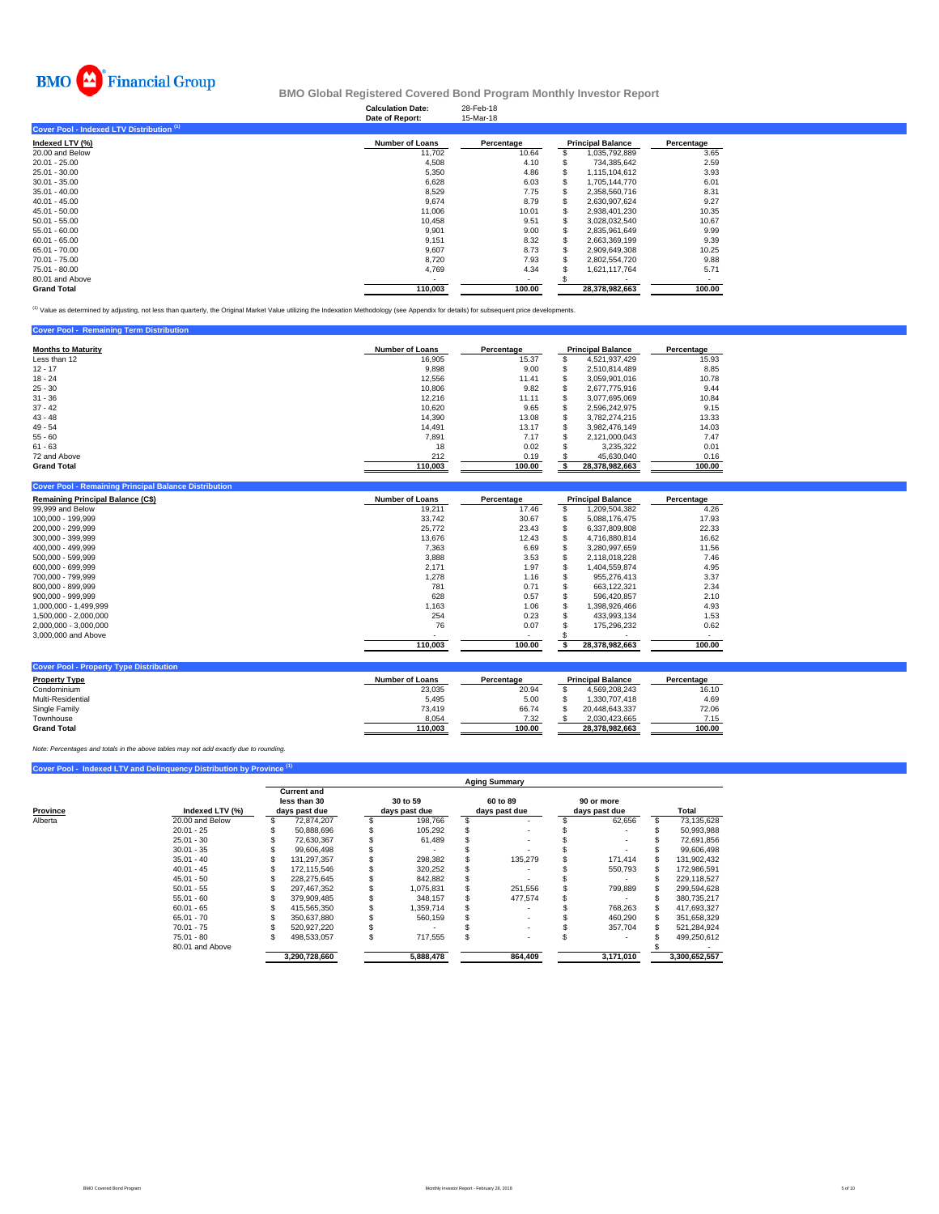

### **Calculation Date:** 28-Feb-18 **BMO Global Registered Covered Bond Program Monthly Investor Report**

|                                           | Date of Report:        | 15-Mar-18  |    |                          |            |
|-------------------------------------------|------------------------|------------|----|--------------------------|------------|
| Cover Pool - Indexed LTV Distribution (1) |                        |            |    |                          |            |
| Indexed LTV (%)                           | <b>Number of Loans</b> | Percentage |    | <b>Principal Balance</b> | Percentage |
| 20.00 and Below                           | 11.702                 | 10.64      | \$ | 1,035,792,889            | 3.65       |
| $20.01 - 25.00$                           | 4,508                  | 4.10       | ъ  | 734.385.642              | 2.59       |
| 25.01 - 30.00                             | 5,350                  | 4.86       | 35 | 1,115,104,612            | 3.93       |
| $30.01 - 35.00$                           | 6,628                  | 6.03       |    | 1.705.144.770            | 6.01       |
| $35.01 - 40.00$                           | 8,529                  | 7.75       | 35 | 2,358,560,716            | 8.31       |
| $40.01 - 45.00$                           | 9.674                  | 8.79       | S  | 2.630.907.624            | 9.27       |
| $45.01 - 50.00$                           | 11,006                 | 10.01      |    | 2.938.401.230            | 10.35      |
| $50.01 - 55.00$                           | 10,458                 | 9.51       |    | 3,028,032,540            | 10.67      |
| $55.01 - 60.00$                           | 9,901                  | 9.00       | S  | 2.835.961.649            | 9.99       |
| $60.01 - 65.00$                           | 9,151                  | 8.32       | S  | 2,663,369,199            | 9.39       |
| 65.01 - 70.00                             | 9,607                  | 8.73       | S  | 2.909.649.308            | 10.25      |
| 70.01 - 75.00                             | 8,720                  | 7.93       | S  | 2,802,554,720            | 9.88       |
| 75.01 - 80.00                             | 4,769                  | 4.34       |    | 1,621,117,764            | 5.71       |
| 80.01 and Above                           |                        |            |    |                          |            |
| <b>Grand Total</b>                        | 110,003                | 100.00     |    | 28.378.982.663           | 100.00     |

<sup>(1)</sup> Value as determined by adjusting, not less than quarterly, the Original Market Value utilizing the Indexation Methodology (see Appendix for details) for subsequent price developments.

| <b>Cover Pool - Remaining Term Distribution</b> |                        |            |    |                          |            |
|-------------------------------------------------|------------------------|------------|----|--------------------------|------------|
| <b>Months to Maturity</b>                       | <b>Number of Loans</b> | Percentage |    | <b>Principal Balance</b> | Percentage |
| Less than 12                                    | 16,905                 | 15.37      | S  | 4.521.937.429            | 15.93      |
| $12 - 17$                                       | 9,898                  | 9.00       | \$ | 2.510.814.489            | 8.85       |
| $18 - 24$                                       | 12,556                 | 11.41      |    | 3.059.901.016            | 10.78      |
| $25 - 30$                                       | 10,806                 | 9.82       |    | 2.677.775.916            | 9.44       |
| $31 - 36$                                       | 12.216                 | 11.11      |    | 3.077.695.069            | 10.84      |
| $37 - 42$                                       | 10.620                 | 9.65       |    | 2.596.242.975            | 9.15       |
| $43 - 48$                                       | 14.390                 | 13.08      | S  | 3.782.274.215            | 13.33      |
| $49 - 54$                                       | 14.491                 | 13.17      |    | 3.982.476.149            | 14.03      |
| $55 - 60$                                       | 7.891                  | 7.17       |    | 2.121.000.043            | 7.47       |
| $61 - 63$                                       | 18                     | 0.02       |    | 3,235,322                | 0.01       |
| 72 and Above                                    | 212                    | 0.19       |    | 45,630,040               | 0.16       |
| <b>Grand Total</b>                              | 110,003                | 100.00     |    | 28,378,982,663           | 100.00     |

| <b>Remaining Principal Balance (C\$)</b> | <b>Number of Loans</b> | Percentage | <b>Principal Balance</b> | Percentage |
|------------------------------------------|------------------------|------------|--------------------------|------------|
| 99,999 and Below                         | 19,211                 | 17.46      | 1,209,504,382            | 4.26       |
| 100,000 - 199,999                        | 33,742                 | 30.67      | 5,088,176,475            | 17.93      |
| 200,000 - 299,999                        | 25,772                 | 23.43      | 6,337,809,808            | 22.33      |
| 300.000 - 399.999                        | 13.676                 | 12.43      | 4.716.880.814            | 16.62      |
| 400.000 - 499.999                        | 7,363                  | 6.69       | 3.280.997.659            | 11.56      |
| 500,000 - 599,999                        | 3,888                  | 3.53       | 2,118,018,228            | 7.46       |
| 600,000 - 699,999                        | 2,171                  | 1.97       | 1,404,559,874            | 4.95       |
| 700,000 - 799,999                        | 1,278                  | 1.16       | 955,276,413              | 3.37       |
| 800.000 - 899.999                        | 781                    | 0.71       | 663.122.321              | 2.34       |
| 900,000 - 999,999                        | 628                    | 0.57       | 596,420,857              | 2.10       |
| 1,000,000 - 1,499,999                    | 1,163                  | 1.06       | 1,398,926,466            | 4.93       |
| 1,500,000 - 2,000,000                    | 254                    | 0.23       | 433,993,134              | 1.53       |
| 2,000,000 - 3,000,000                    | 76                     | 0.07       | 175,296,232              | 0.62       |
| 3,000,000 and Above                      |                        |            |                          |            |
|                                          | 110,003                | 100.00     | 28,378,982,663           | 100.00     |

| <b>Property Type</b> | <b>Number of Loans</b> | Percentage | <b>Principal Balance</b> | Percentage |
|----------------------|------------------------|------------|--------------------------|------------|
| Condominium          | 23,035                 | 20.94      | 4.569.208.243            | 16.10      |
| Multi-Residential    | 5.495                  | 5.00       | 1.330.707.418            | 4.69       |
| Single Family        | 73.419                 | 66.74      | 20.448.643.337           | 72.06      |
| Townhouse            | 8,054                  | 7.32       | 2.030.423.665            | 7.15       |
| <b>Grand Total</b>   | 110.003                | 100.00     | 28.378.982.663           | 100.00     |

*Note: Percentages and totals in the above tables may not add exactly due to rounding.*

### **Cover Pool - Indexed LTV and Delinquency Distribution by Province**

|                             |                 |                                                     |                           |                                                          | <b>Aging Summary</b> |  |           |  |               |
|-----------------------------|-----------------|-----------------------------------------------------|---------------------------|----------------------------------------------------------|----------------------|--|-----------|--|---------------|
| Province<br>Indexed LTV (%) |                 | <b>Current and</b><br>less than 30<br>days past due | 30 to 59<br>days past due | 60 to 89<br>90 or more<br>days past due<br>days past due |                      |  | Total     |  |               |
| Alberta                     | 20.00 and Below | 72.874.207                                          | 198.766                   | S.                                                       |                      |  | 62,656    |  | 73,135,628    |
|                             | $20.01 - 25$    | 50.888.696                                          | 105.292                   |                                                          |                      |  |           |  | 50,993,988    |
|                             | $25.01 - 30$    | 72.630.367                                          | 61.489                    |                                                          |                      |  |           |  | 72.691.856    |
|                             | $30.01 - 35$    | 99.606.498                                          |                           |                                                          |                      |  |           |  | 99,606,498    |
|                             | $35.01 - 40$    | 131.297.357                                         | 298.382                   |                                                          | 135.279              |  | 171.414   |  | 131.902.432   |
|                             | $40.01 - 45$    | 172.115.546                                         | 320.252                   |                                                          |                      |  | 550,793   |  | 172.986.591   |
|                             | $45.01 - 50$    | 228.275.645                                         | 842,882                   |                                                          |                      |  |           |  | 229.118.527   |
|                             | $50.01 - 55$    | 297.467.352                                         | 1.075.831                 |                                                          | 251.556              |  | 799,889   |  | 299,594,628   |
|                             | $55.01 - 60$    | 379.909.485                                         | 348.157                   |                                                          | 477.574              |  |           |  | 380.735.217   |
|                             | $60.01 - 65$    | 415.565.350                                         | 1.359.714                 |                                                          |                      |  | 768.263   |  | 417.693.327   |
|                             | $65.01 - 70$    | 350.637.880                                         | 560.159                   |                                                          |                      |  | 460.290   |  | 351,658,329   |
|                             | $70.01 - 75$    | 520,927,220                                         |                           |                                                          |                      |  | 357,704   |  | 521,284,924   |
|                             | $75.01 - 80$    | 498,533,057                                         | 717,555                   |                                                          |                      |  |           |  | 499,250,612   |
|                             | 80.01 and Above |                                                     |                           |                                                          |                      |  |           |  |               |
|                             |                 | 3,290,728,660                                       | 5,888,478                 |                                                          | 864,409              |  | 3,171,010 |  | 3,300,652,557 |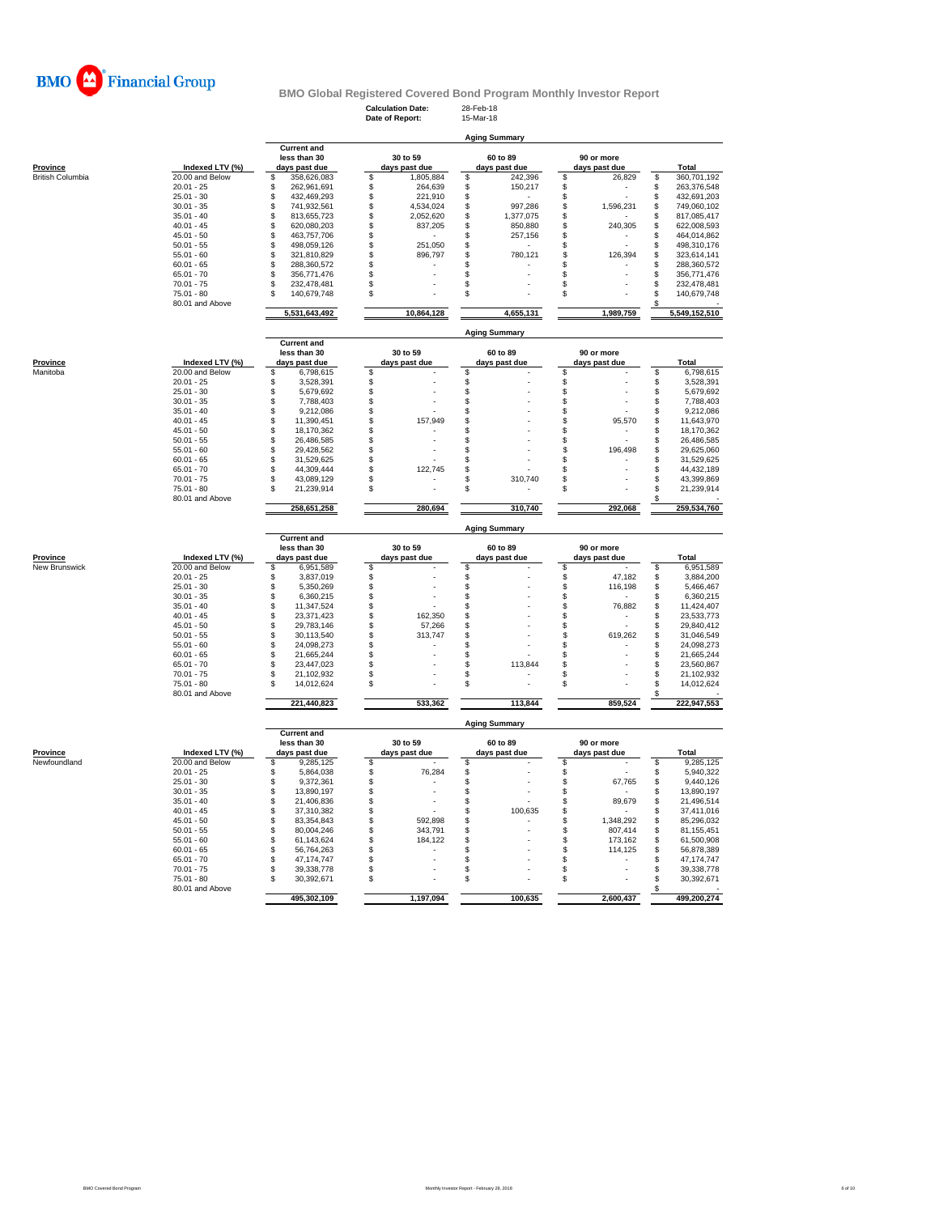

**Calculation Date:** 28-Feb-18 **Date of Report:** 15-Mar-18

**Aging Summary**

|                         |                                 | <b>Current and</b>                 |                 |                      |                      |                        |
|-------------------------|---------------------------------|------------------------------------|-----------------|----------------------|----------------------|------------------------|
|                         |                                 | less than 30                       | 30 to 59        | 60 to 89             | 90 or more           |                        |
| Province                | Indexed LTV (%)                 | days past due                      | days past due   | days past due        | days past due        | <b>Total</b>           |
| <b>British Columbia</b> | 20.00 and Below                 | \$<br>358,626,083                  | 1,805,884<br>\$ | \$<br>242,396        | \$<br>26,829         | \$<br>360,701,192      |
|                         | $20.01 - 25$                    | \$<br>262,961,691                  | \$<br>264,639   | \$<br>150,217        | \$                   | \$<br>263,376,548      |
|                         | $25.01 - 30$                    | 432,469,293                        | \$<br>221,910   | \$                   |                      | 432,691,203<br>\$      |
|                         | $30.01 - 35$                    | \$<br>\$<br>741,932,561            | \$<br>4,534,024 | 997,286              | \$<br>1,596,231      | 749,060,102            |
|                         |                                 |                                    |                 | \$                   | \$                   | \$                     |
|                         | $35.01 - 40$                    | \$<br>813,655,723                  | \$<br>2,052,620 | \$<br>1,377,075      | \$                   | 817,085,417<br>\$      |
|                         | $40.01 - 45$                    | \$<br>620,080,203                  | \$<br>837,205   | \$<br>850,880        | \$<br>240,305        | \$<br>622,008,593      |
|                         | $45.01 - 50$                    | \$<br>463,757,706                  | \$              | \$<br>257,156        | \$                   | \$<br>464,014,862      |
|                         | $50.01 - 55$                    | \$<br>498,059,126                  | \$<br>251,050   | \$                   | \$<br>$\overline{a}$ | \$<br>498,310,176      |
|                         | $55.01 - 60$                    | \$<br>321,810,829                  | \$<br>896,797   | \$<br>780,121        | \$<br>126,394        | \$<br>323,614,141      |
|                         | $60.01 - 65$                    | \$<br>288,360,572                  | \$              | \$                   | \$                   | \$<br>288,360,572      |
|                         | $65.01 - 70$                    | 356,771,476<br>\$                  | \$              | \$                   | \$                   | \$<br>356,771,476      |
|                         |                                 | \$                                 |                 |                      |                      |                        |
|                         | $70.01 - 75$                    | 232,478,481                        | \$              | \$                   | \$                   | \$<br>232,478,481      |
|                         | $75.01 - 80$                    | \$<br>140,679,748                  | \$              | \$                   | \$                   | \$<br>140,679,748      |
|                         | 80.01 and Above                 | 5,531,643,492                      | 10,864,128      | 4,655,131            | 1,989,759            | \$<br>5,549,152,510    |
|                         |                                 |                                    |                 |                      |                      |                        |
|                         |                                 |                                    |                 | <b>Aging Summary</b> |                      |                        |
|                         |                                 | <b>Current and</b><br>less than 30 | 30 to 59        | 60 to 89             | 90 or more           |                        |
| Province                | Indexed LTV (%)                 | days past due                      | days past due   | days past due        | days past due        | Total                  |
| Manitoba                | 20.00 and Below                 | \$<br>6,798,615                    | \$              | \$                   | \$                   | \$<br>6,798,615        |
|                         |                                 |                                    |                 |                      |                      |                        |
|                         | $20.01 - 25$                    | \$<br>3,528,391                    | \$              | \$                   | \$                   | \$<br>3,528,391        |
|                         | $25.01 - 30$                    | \$<br>5,679,692                    | \$              | \$                   | \$                   | \$<br>5,679,692        |
|                         | $30.01 - 35$                    | \$<br>7,788,403                    | \$<br>J.        | \$                   | \$                   | \$<br>7,788,403        |
|                         | $35.01 - 40$                    | \$<br>9,212,086                    | \$              | \$                   | \$                   | \$<br>9,212,086        |
|                         | $40.01 - 45$                    | \$<br>11,390,451                   | \$<br>157,949   | \$                   | 95,570<br>S          | \$<br>11,643,970       |
|                         | $45.01 - 50$                    | \$<br>18,170,362                   | \$              | \$                   | \$                   | \$<br>18,170,362       |
|                         | $50.01 - 55$                    | \$<br>26,486,585                   | \$              | \$                   | \$                   | \$<br>26,486,585       |
|                         | $55.01 - 60$                    | \$<br>29,428,562                   | \$              | \$                   | \$<br>196,498        | \$<br>29,625,060       |
|                         |                                 |                                    |                 |                      |                      |                        |
|                         | $60.01 - 65$                    | \$<br>31,529,625                   | \$              | \$                   | \$                   | \$<br>31,529,625       |
|                         | $65.01 - 70$                    | \$<br>44,309,444                   | \$<br>122.745   | \$                   | \$                   | \$<br>44,432,189       |
|                         | $70.01 - 75$                    | 43,089,129<br>\$.                  | \$              | \$<br>310,740        | \$                   | \$<br>43,399,869       |
|                         | $75.01 - 80$                    | \$<br>21,239,914                   | \$              | \$                   | \$                   | \$<br>21,239,914       |
|                         | 80.01 and Above                 | 258,651,258                        | 280,694         | 310,740              | 292,068              | \$<br>259,534,760      |
|                         |                                 |                                    |                 |                      |                      |                        |
|                         |                                 | <b>Current and</b>                 |                 | <b>Aging Summary</b> |                      |                        |
|                         |                                 | less than 30                       | 30 to 59        | 60 to 89             | 90 or more           |                        |
| <b>Province</b>         | Indexed LTV (%)                 | days past due                      | days past due   | days past due        | days past due        | Total                  |
| New Brunswick           | 20.00 and Below                 | \$<br>6,951,589                    | \$              | \$                   | \$                   | \$<br>6,951,589        |
|                         | $20.01 - 25$                    | \$<br>3,837,019                    | \$              | \$                   | \$<br>47,182         | \$<br>3,884,200        |
|                         | $25.01 - 30$                    | \$<br>5,350,269                    | \$              | \$                   | \$<br>116,198        | \$<br>5,466,467        |
|                         | $30.01 - 35$                    | \$<br>6,360,215                    | \$              | \$                   | \$<br>$\sim$         | \$<br>6,360,215        |
|                         | $35.01 - 40$                    | \$<br>11,347,524                   | \$              | \$                   | \$<br>76,882         | \$<br>11,424,407       |
|                         | $40.01 - 45$                    | \$<br>23,371,423                   | \$<br>162,350   | \$                   | \$                   | \$<br>23,533,773       |
|                         |                                 |                                    |                 |                      |                      |                        |
|                         | $45.01 - 50$                    | \$<br>29,783,146                   | \$<br>57,266    | \$                   | \$                   | \$<br>29,840,412       |
|                         | $50.01 - 55$                    | \$<br>30,113,540                   | \$<br>313,747   | \$                   | 619,262<br>S         | \$<br>31,046,549       |
|                         | $55.01 - 60$                    | \$<br>24,098,273                   | \$              | \$                   | S                    | \$<br>24,098,273       |
|                         | $60.01 - 65$                    | \$<br>21,665,244                   | \$              | \$                   | \$                   | \$<br>21,665,244       |
|                         | $65.01 - 70$                    | \$<br>23,447,023                   | \$              | S<br>113,844         | \$                   | \$<br>23,560,867       |
|                         | $70.01 - 75$                    | \$<br>21,102,932                   | \$              | \$                   | \$                   | \$<br>21,102,932       |
|                         | 75.01 - 80                      | \$<br>14,012,624                   | \$              | \$                   | \$                   | \$<br>14,012,624       |
|                         | 80.01 and Above                 | 221,440,823                        | 533,362         | 113,844              | 859,524              | \$<br>222,947,553      |
|                         |                                 |                                    |                 |                      |                      |                        |
|                         |                                 | <b>Current and</b>                 |                 | <b>Aging Summary</b> |                      |                        |
|                         |                                 | less than 30                       | 30 to 59        | 60 to 89             | 90 or more           |                        |
| <b>Province</b>         | Indexed LTV (%)                 | days past due                      | days past due   | days past due        | days past due        | <b>Total</b>           |
| Newfoundland            | 20.00 and Below                 | \$<br>9,285,125                    | \$              | \$                   | S                    | 9,285,125<br>\$        |
|                         | $20.01 - 25$                    | \$<br>5,864,038                    | \$<br>76,284    | \$                   | \$                   | \$<br>5,940,322        |
|                         | $25.01 - 30$                    | \$<br>9,372,361                    | \$              | \$                   | \$<br>67,765         | \$<br>9,440,126        |
|                         | $30.01 - 35$                    | \$<br>13,890,197                   | \$              | \$                   | \$                   | \$<br>13,890,197       |
|                         | $35.01 - 40$                    | \$<br>21,406,836                   | \$<br>×,        | \$                   | \$<br>89,679         | \$<br>21,496,514       |
|                         | $40.01 - 45$                    | \$<br>37,310,382                   | \$              | \$<br>100,635        | \$                   | \$<br>37,411,016       |
|                         |                                 |                                    |                 |                      |                      |                        |
|                         | $45.01 - 50$                    | \$<br>83,354,843                   | \$<br>592,898   | \$                   | \$<br>1,348,292      | \$<br>85,296,032       |
|                         | $50.01 - 55$                    | \$<br>80,004,246                   | \$<br>343,791   | \$                   | \$<br>807,414        | \$<br>81,155,451       |
|                         | $55.01 - 60$                    | \$<br>61,143,624                   | \$<br>184,122   | \$                   | \$<br>173,162        | \$<br>61,500,908       |
|                         | $60.01 - 65$                    | \$<br>56,764,263                   | \$              | \$                   | \$<br>114,125        | \$<br>56,878,389       |
|                         | $65.01 - 70$                    | \$<br>47,174,747                   | \$              | \$                   | \$                   | \$<br>47, 174, 747     |
|                         |                                 |                                    |                 |                      |                      |                        |
|                         |                                 |                                    |                 |                      |                      |                        |
|                         | $70.01 - 75$                    | 39,338,778<br>\$                   | \$              | \$                   | \$                   | \$<br>39,338,778       |
|                         | $75.01 - 80$<br>80.01 and Above | \$<br>30,392,671                   | \$              | \$                   | \$                   | \$<br>30,392,671<br>\$ |
|                         |                                 | 495,302,109                        | 1,197,094       | 100,635              | 2,600,437            | 499,200,274            |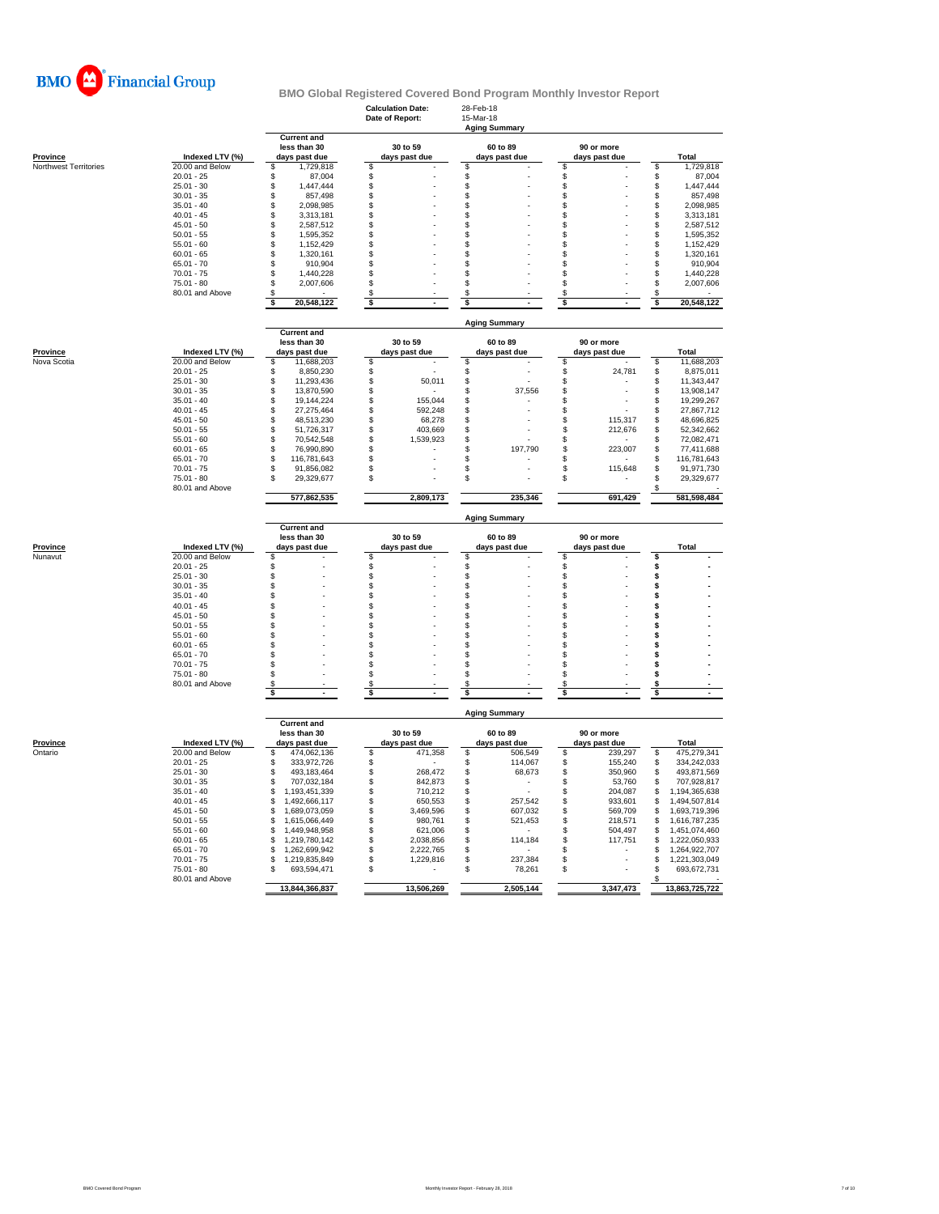

|                                   |                                    |                                    | <b>Calculation Date:</b><br>Date of Report: | 28-Feb-18<br>15-Mar-18<br><b>Aging Summary</b> |                                |                          |
|-----------------------------------|------------------------------------|------------------------------------|---------------------------------------------|------------------------------------------------|--------------------------------|--------------------------|
|                                   |                                    | <b>Current and</b><br>less than 30 | 30 to 59                                    | 60 to 89                                       | 90 or more                     |                          |
| Province<br>Northwest Territories | Indexed LTV (%)<br>20.00 and Below | days past due<br>1,729,818<br>\$   | days past due<br>\$                         | days past due<br>\$                            | days past due<br>\$            | Total<br>\$<br>1,729,818 |
|                                   | $20.01 - 25$                       | \$<br>87,004                       | \$                                          | \$                                             | \$                             | \$<br>87,004             |
|                                   | $25.01 - 30$                       | \$<br>1,447,444                    | \$                                          | \$                                             | \$                             | \$<br>1,447,444          |
|                                   | $30.01 - 35$                       | \$<br>857,498                      | \$                                          | \$                                             | \$                             | \$<br>857,498            |
|                                   | $35.01 - 40$                       | \$<br>2.098.985                    | \$                                          | \$                                             | \$                             | 2,098,985<br>S           |
|                                   | $40.01 - 45$                       | 3,313,181                          | \$                                          | \$                                             | \$                             | 3,313,181<br>S           |
|                                   | $45.01 - 50$                       | \$<br>2,587,512                    | \$                                          | S                                              | S                              | S<br>2,587,512           |
|                                   | $50.01 - 55$                       | \$<br>1,595,352                    | \$                                          | \$                                             | \$                             | \$<br>1,595,352          |
|                                   | $55.01 - 60$                       | \$<br>1,152,429                    | \$                                          | \$                                             | \$                             | \$<br>1,152,429          |
|                                   | $60.01 - 65$                       | \$<br>1,320,161                    | \$                                          | \$                                             | \$                             | 1,320,161<br>S           |
|                                   | $65.01 - 70$                       | \$<br>910,904                      | \$                                          | \$                                             | \$                             | \$<br>910,904            |
|                                   | $70.01 - 75$                       | \$<br>1,440,228                    | \$                                          | \$                                             | \$                             | \$<br>1,440,228          |
|                                   | $75.01 - 80$                       | \$<br>2,007,606                    | \$                                          | \$                                             | \$                             | \$<br>2,007,606          |
|                                   | 80.01 and Above                    | \$                                 | \$                                          | \$                                             | \$                             | S                        |
|                                   |                                    | 20,548,122<br>S                    | \$                                          | \$                                             | \$                             | 20,548,122<br>s          |
|                                   |                                    | <b>Current and</b>                 |                                             | <b>Aging Summary</b>                           |                                |                          |
|                                   |                                    | less than 30                       | 30 to 59                                    | 60 to 89                                       | 90 or more                     |                          |
| <b>Province</b>                   | Indexed LTV (%)                    | days past due                      | days past due                               | days past due                                  | days past due                  | Total                    |
| Nova Scotia                       | 20.00 and Below                    | 11,688,203<br>\$                   | \$                                          | \$                                             | \$                             | 11,688,203<br>\$         |
|                                   | $20.01 - 25$                       | \$<br>8,850,230                    | \$                                          | \$                                             | \$<br>24,781                   | 8,875,011<br>\$          |
|                                   | $25.01 - 30$                       | \$<br>11,293,436                   | \$<br>50,011                                | \$                                             | \$                             | \$<br>11,343,447         |
|                                   | $30.01 - 35$                       | \$<br>13,870,590                   | \$                                          | \$<br>37,556                                   | \$                             | 13,908,147<br>\$         |
|                                   | $35.01 - 40$                       | \$<br>19,144,224                   | \$<br>155,044                               | \$                                             | \$                             | \$<br>19,299,267         |
|                                   | $40.01 - 45$                       | \$<br>27,275,464                   | \$<br>592,248                               | \$                                             | \$                             | 27,867,712<br>\$         |
|                                   | $45.01 - 50$                       | \$<br>48,513,230                   | \$<br>68,278                                | \$                                             | \$<br>115.317                  | 48.696.825<br>S          |
|                                   | $50.01 - 55$                       | \$<br>51,726,317                   | \$<br>403,669                               | \$                                             | \$<br>212,676                  | \$<br>52,342,662         |
|                                   | $55.01 - 60$                       | \$<br>70,542,548                   | \$<br>1,539,923                             | \$                                             | \$                             | \$<br>72,082,471         |
|                                   | $60.01 - 65$                       | \$<br>76,990,890                   | \$                                          | \$<br>197,790                                  | \$<br>223,007                  | S<br>77.411.688          |
|                                   | $65.01 - 70$                       | \$<br>116,781,643                  | \$                                          | \$                                             | \$                             | 116,781,643<br>\$        |
|                                   | $70.01 - 75$                       | \$<br>91,856,082                   | S                                           | \$                                             | \$<br>115,648                  | S<br>91,971,730          |
|                                   | $75.01 - 80$                       | 29,329,677<br>\$                   | \$                                          | \$                                             | \$                             | 29,329,677               |
|                                   | 80.01 and Above                    | 577,862,535                        | 2,809,173                                   | 235,346                                        | 691,429                        | 581,598,484              |
|                                   |                                    |                                    |                                             |                                                |                                |                          |
|                                   |                                    |                                    |                                             | <b>Aging Summary</b>                           |                                |                          |
|                                   |                                    | <b>Current and</b><br>less than 30 | 30 to 59                                    | 60 to 89                                       | 90 or more                     |                          |
| Province                          | Indexed LTV (%)                    | days past due                      | days past due                               | days past due                                  | days past due                  | <b>Total</b>             |
| Nunavut                           | 20.00 and Below                    | \$                                 | \$                                          | \$                                             | \$                             | \$                       |
|                                   | $20.01 - 25$                       | \$                                 | \$                                          | \$                                             | \$                             | \$                       |
|                                   | $25.01 - 30$                       | \$                                 | \$                                          | \$                                             | \$                             | \$                       |
|                                   | $30.01 - 35$                       | \$                                 | \$                                          | \$                                             | \$                             | \$                       |
|                                   | $35.01 - 40$                       | \$                                 | \$                                          | \$                                             | \$                             | \$                       |
|                                   | $40.01 - 45$                       | \$                                 | \$                                          | \$                                             | \$                             | \$                       |
|                                   | $45.01 - 50$                       | \$                                 | \$                                          | \$                                             | \$                             | \$                       |
|                                   | $50.01 - 55$                       | \$                                 | \$                                          | \$                                             | \$                             | s                        |
|                                   | $55.01 - 60$                       | \$                                 | \$                                          | \$                                             | \$                             | \$                       |
|                                   | $60.01 - 65$                       | \$                                 | \$                                          | \$                                             | \$                             | \$                       |
|                                   | $65.01 - 70$                       | \$                                 | \$                                          | \$                                             | \$                             | \$<br>\$                 |
|                                   | $70.01 - 75$<br>75.01 - 80         | \$<br>\$                           | \$                                          | \$                                             | \$<br>\$                       | \$                       |
|                                   |                                    | S                                  | \$<br>S                                     | \$<br>S                                        | S                              |                          |
|                                   | 80.01 and Above                    | \$                                 | \$                                          | \$                                             | \$                             | \$<br>\$                 |
|                                   |                                    |                                    |                                             | <b>Aging Summary</b>                           |                                |                          |
|                                   |                                    | <b>Current and</b>                 |                                             |                                                |                                |                          |
|                                   |                                    | less than 30                       | 30 to 59                                    | 60 to 89                                       | 90 or more                     |                          |
| <b>Province</b><br>Ontario        | Indexed LTV (%)<br>20.00 and Below | days past due<br>\$                | days past due                               | days past due<br>506,549                       | days past due                  | Total<br>475,279,341     |
|                                   | $20.01 - 25$                       | 474,062,136<br>333,972,726<br>\$   | \$<br>471,358<br>\$                         | \$<br>\$<br>114,067                            | \$<br>239,297<br>\$<br>155,240 | \$<br>334,242,033<br>\$  |
|                                   | $25.01 - 30$                       | \$<br>493,183,464                  | \$<br>268,472                               | \$<br>68,673                                   | 350,960<br>\$                  | \$<br>493,871,569        |
|                                   | $30.01 - 35$                       | \$<br>707,032,184                  | \$<br>842,873                               | \$                                             | \$<br>53,760                   | 707,928,817<br>\$        |
|                                   | $35.01 - 40$                       | \$<br>1,193,451,339                | \$<br>710,212                               | \$                                             | \$<br>204,087                  | 1,194,365,638<br>S       |
|                                   | $40.01 - 45$                       | \$<br>1,492,666,117                | \$<br>650,553                               | \$<br>257.542                                  | \$<br>933,601                  | \$<br>1,494,507,814      |
|                                   | $45.01 - 50$                       | \$<br>1,689,073,059                | \$<br>3,469,596                             | \$<br>607,032                                  | \$<br>569,709                  | 1,693,719,396<br>\$      |
|                                   | $50.01 - 55$                       | \$<br>1,615,066,449                | \$<br>980,761                               | \$<br>521,453                                  | \$<br>218,571                  | \$<br>1,616,787,235      |
|                                   | $55.01 - 60$                       | \$<br>1,449,948,958                | \$<br>621,006                               | \$                                             | \$<br>504,497                  | 1,451,074,460<br>\$      |
|                                   | $60.01 - 65$                       | \$<br>1,219,780,142                | \$<br>2,038,856                             | \$<br>114,184                                  | \$<br>117,751                  | \$<br>1,222,050,933      |
|                                   | $65.01 - 70$                       | \$<br>1,262,699,942                | \$<br>2,222,765                             | \$                                             | S                              | £.<br>1,264,922,707      |
|                                   | $70.01 - 75$                       | 1,219,835,849<br>\$                | \$<br>1,229,816                             | 237,384<br>\$                                  | \$                             | 1,221,303,049<br>S       |
|                                   | 75.01 - 80                         | \$<br>693,594,471                  | \$                                          | \$<br>78,261                                   | \$                             | \$<br>693,672,731        |
|                                   | 80.01 and Above                    | 13,844,366,837                     | 13,506,269                                  | 2,505,144                                      | 3,347,473                      | £,<br>13,863,725,722     |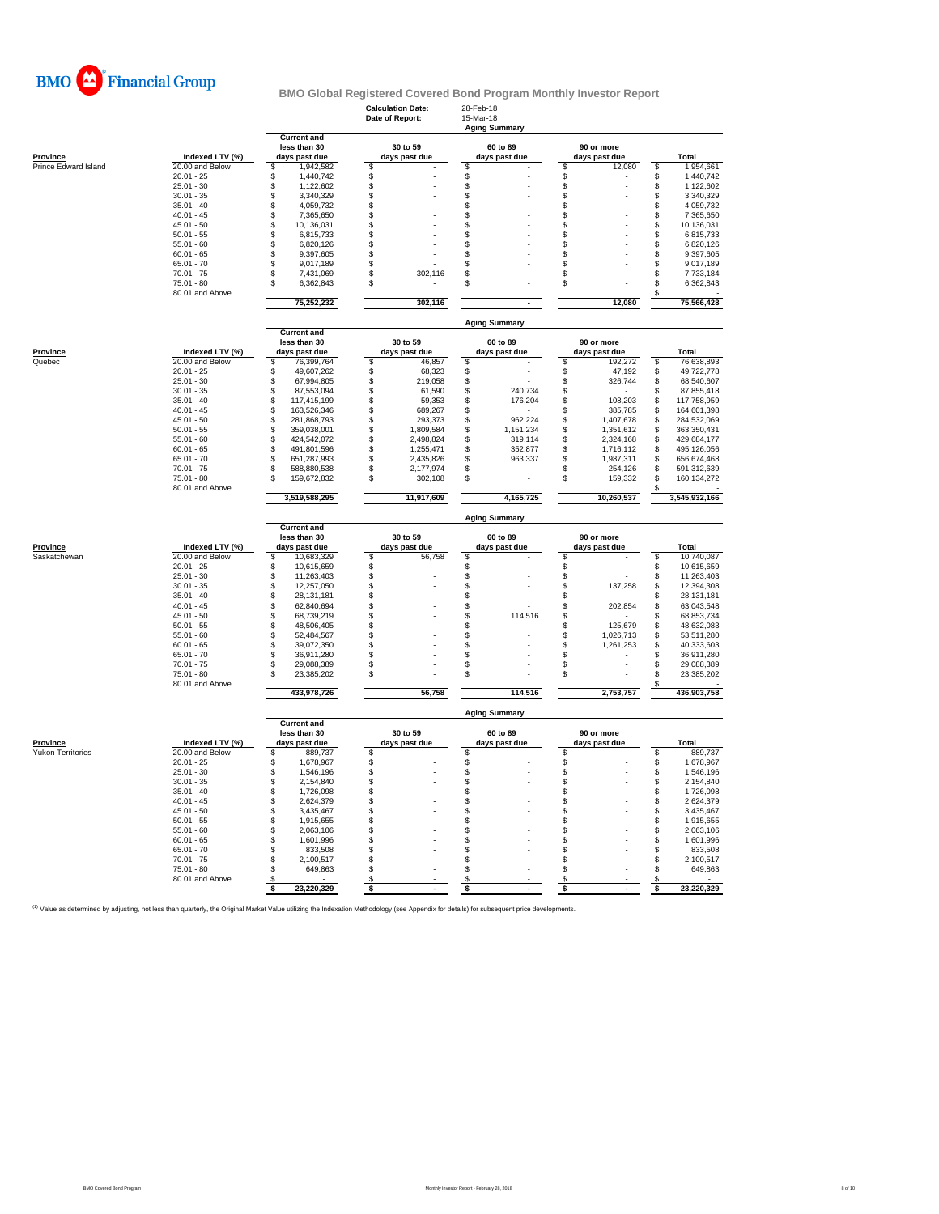

|                          |                                 | <b>Current and</b>                 | <b>Calculation Date:</b><br>Date of Report: | 28-Feb-18<br>15-Mar-18<br><b>Aging Summary</b> |                             |                                      |  |  |  |
|--------------------------|---------------------------------|------------------------------------|---------------------------------------------|------------------------------------------------|-----------------------------|--------------------------------------|--|--|--|
| Province                 | Indexed LTV (%)                 |                                    | 30 to 59<br>days past due                   | 60 to 89<br>days past due                      | 90 or more<br>days past due | Total                                |  |  |  |
| Prince Edward Island     | 20.00 and Below                 | days past due<br>\$<br>1,942,582   | s                                           | s                                              | \$<br>12,080                | 1,954,661<br>\$                      |  |  |  |
|                          | $20.01 - 25$                    | \$<br>1,440,742                    | \$                                          | \$                                             | \$                          | \$<br>1,440,742                      |  |  |  |
|                          | $25.01 - 30$                    | \$<br>1,122,602                    | \$                                          | \$                                             | \$                          | \$<br>1,122,602                      |  |  |  |
|                          | $30.01 - 35$                    | 3,340,329<br>\$                    | \$                                          | \$                                             | \$                          | \$<br>3,340,329                      |  |  |  |
|                          | $35.01 - 40$                    | \$<br>4,059,732                    | \$                                          | \$                                             | \$                          | \$<br>4,059,732                      |  |  |  |
|                          | $40.01 - 45$                    | 7,365,650<br>\$                    | \$                                          | \$                                             | \$                          | \$<br>7,365,650                      |  |  |  |
|                          | $45.01 - 50$<br>$50.01 - 55$    | \$<br>10,136,031<br>\$.            | \$<br>\$                                    | \$<br>\$                                       | \$<br>\$                    | \$<br>10,136,031                     |  |  |  |
|                          | $55.01 - 60$                    | 6,815,733<br>\$<br>6,820,126       | \$                                          | \$                                             | \$                          | \$<br>6,815,733<br>6,820,126         |  |  |  |
|                          | $60.01 - 65$                    | \$<br>9,397,605                    | \$                                          | \$                                             | \$                          | \$<br>\$<br>9,397,605                |  |  |  |
|                          | $65.01 - 70$                    | 9,017,189<br>\$.                   | \$                                          | \$                                             | $\mathfrak{L}$              | \$<br>9,017,189                      |  |  |  |
|                          | $70.01 - 75$                    | 7,431,069<br>\$                    | \$<br>302,116                               | S                                              | \$                          | \$<br>7,733,184                      |  |  |  |
|                          | $75.01 - 80$<br>80.01 and Above | \$<br>6,362,843                    | \$                                          | S                                              | \$                          | \$<br>6,362,843<br>\$                |  |  |  |
|                          |                                 | 75,252,232                         | 302,116                                     |                                                | 12,080                      | 75,566,428                           |  |  |  |
|                          |                                 | <b>Current and</b>                 |                                             | <b>Aging Summary</b>                           |                             |                                      |  |  |  |
|                          |                                 | less than 30                       | 30 to 59                                    | 60 to 89                                       | 90 or more                  |                                      |  |  |  |
| Province                 | Indexed LTV (%)                 | days past due                      | days past due                               | days past due                                  | days past due               | Total                                |  |  |  |
| Quebec                   | 20.00 and Below                 | \$<br>76.399.764                   | \$<br>46,857                                | \$                                             | \$<br>192,272               | \$<br>76,638,893                     |  |  |  |
|                          | $20.01 - 25$                    | 49,607,262<br>\$                   | \$<br>68,323                                | \$                                             | \$<br>47,192                | \$<br>49,722,778                     |  |  |  |
|                          | $25.01 - 30$                    | 67,994,805<br>S                    | \$<br>219,058                               | \$                                             | \$<br>326,744               | \$<br>68,540,607                     |  |  |  |
|                          | $30.01 - 35$                    | \$<br>87,553,094                   | \$<br>61,590                                | \$<br>240,734                                  | \$                          | \$<br>87,855,418                     |  |  |  |
|                          | $35.01 - 40$                    | \$<br>117,415,199                  | \$<br>59,353                                | \$<br>176,204                                  | \$<br>108,203               | \$<br>117,758,959                    |  |  |  |
|                          | $40.01 - 45$                    | \$<br>163,526,346                  | \$<br>689,267                               | \$                                             | \$<br>385,785               | \$<br>164,601,398                    |  |  |  |
|                          | $45.01 - 50$                    | \$<br>281,868,793                  | \$<br>293,373                               | S<br>962,224                                   | \$<br>1,407,678             | \$<br>284,532,069                    |  |  |  |
|                          | $50.01 - 55$                    | \$<br>359,038,001                  | \$<br>1,809,584                             | \$<br>1,151,234                                | \$<br>1,351,612             | \$<br>363,350,431                    |  |  |  |
|                          | $55.01 - 60$                    | \$.<br>424,542,072                 | \$<br>2,498,824                             | 319,114<br>S                                   | \$<br>2,324,168             | \$<br>429,684,177                    |  |  |  |
|                          | $60.01 - 65$                    | \$<br>491,801,596                  | \$<br>1,255,471                             | 352,877<br>S                                   | \$<br>1,716,112             | 495,126,056<br>\$                    |  |  |  |
|                          | $65.01 - 70$                    | \$<br>651,287,993                  | \$<br>2,435,826                             | \$<br>963,337                                  | \$<br>1,987,311             | \$<br>656,674,468                    |  |  |  |
|                          | $70.01 - 75$<br>$75.01 - 80$    | \$.<br>588,880,538<br>\$           | \$.<br>2.177.974<br>\$                      | $\mathfrak{L}$<br>\$                           | \$.<br>254,126<br>\$        | \$<br>591,312,639<br>\$              |  |  |  |
|                          | 80.01 and Above                 | 159,672,832<br>3,519,588,295       | 302,108<br>11,917,609                       | 4,165,725                                      | 159,332<br>10,260,537       | 160,134,272<br>3,545,932,166         |  |  |  |
|                          |                                 |                                    |                                             | <b>Aging Summary</b>                           |                             |                                      |  |  |  |
|                          |                                 | <b>Current and</b><br>less than 30 | 30 to 59                                    | 60 to 89                                       | 90 or more                  |                                      |  |  |  |
| Province                 | Indexed LTV (%)                 | days past due                      | days past due                               | days past due                                  | days past due               | Total                                |  |  |  |
| Saskatchewan             | 20.00 and Below                 | \$<br>10,683,329                   | \$<br>56,758                                | \$                                             | \$                          | 10,740,087<br>S                      |  |  |  |
|                          | $20.01 - 25$                    | 10,615,659<br>\$                   | \$                                          | \$                                             | \$                          | \$<br>10,615,659                     |  |  |  |
|                          | $25.01 - 30$                    | \$<br>11,263,403                   | \$                                          | \$                                             | \$                          | \$<br>11,263,403                     |  |  |  |
|                          | $30.01 - 35$                    | \$.<br>12,257,050                  | $\mathfrak{L}$                              | \$                                             | \$<br>137,258               | \$<br>12,394,308                     |  |  |  |
|                          | $35.01 - 40$                    | \$<br>28,131,181                   | \$                                          | \$                                             | \$                          | \$<br>28,131,181                     |  |  |  |
|                          | $40.01 - 45$                    | \$<br>62,840,694                   | \$                                          | \$                                             | \$<br>202,854               | \$<br>63,043,548                     |  |  |  |
|                          | $45.01 - 50$                    | \$.<br>68,739,219                  | \$                                          | \$<br>114,516                                  | \$                          | \$<br>68,853,734                     |  |  |  |
|                          | $50.01 - 55$                    | \$<br>48,506,405                   | \$                                          | \$                                             | \$<br>125,679               | \$<br>48,632,083                     |  |  |  |
|                          | $55.01 - 60$                    | \$<br>52,484,567                   | \$                                          | \$                                             | \$<br>1,026,713             | \$<br>53,511,280                     |  |  |  |
|                          | $60.01 - 65$                    | \$<br>39,072,350                   | \$                                          | $\ddot{s}$                                     | $\ddot{s}$<br>1,261,253     | \$<br>40,333,603                     |  |  |  |
|                          | $65.01 - 70$                    | 36,911,280<br>\$                   | \$                                          | \$                                             | \$                          | \$<br>36,911,280                     |  |  |  |
|                          | $70.01 - 75$<br>$75.01 - 80$    | S<br>29,088,389<br>23,385,202<br>S | \$<br>\$                                    | \$<br>\$                                       | \$<br>\$                    | \$<br>29,088,389<br>\$<br>23,385,202 |  |  |  |
|                          | 80.01 and Above                 | 433,978,726                        | 56,758                                      | 114,516                                        | 2,753,757                   | \$<br>436,903,758                    |  |  |  |
|                          |                                 |                                    |                                             |                                                |                             |                                      |  |  |  |
|                          |                                 | <b>Current and</b>                 |                                             | <b>Aging Summary</b>                           |                             |                                      |  |  |  |
|                          |                                 | less than 30                       | 30 to 59                                    | 60 to 89                                       | 90 or more                  |                                      |  |  |  |
| Province                 | Indexed LTV (%)                 | days past due                      | days past due                               | days past due                                  | days past due               | Total                                |  |  |  |
| <b>Yukon Territories</b> | 20.00 and Below<br>$20.01 - 25$ | \$<br>889,737<br>\$.<br>1,678,967  | \$<br>\$                                    | \$<br>\$                                       | \$<br>\$                    | \$<br>889,737<br>\$<br>1,678,967     |  |  |  |
|                          | $25.01 - 30$                    | \$<br>1,546,196                    | \$                                          | \$                                             | \$                          | \$<br>1,546,196                      |  |  |  |
|                          | $30.01 - 35$                    | \$<br>2,154,840                    | \$                                          | \$                                             | \$                          | \$<br>2,154,840                      |  |  |  |
|                          | $35.01 - 40$                    | 1,726,098<br>\$.                   | \$                                          | \$                                             | \$                          | \$<br>1,726,098                      |  |  |  |
|                          | $40.01 - 45$                    | 2,624,379<br>\$                    | \$                                          | \$                                             | \$                          | \$<br>2,624,379                      |  |  |  |
|                          | $45.01 - 50$                    | S<br>3,435,467                     | S                                           | \$                                             | \$                          | \$<br>3,435,467                      |  |  |  |
|                          | $50.01 - 55$                    | \$.<br>1,915,655                   | \$                                          | \$                                             | \$                          | \$<br>1,915,655                      |  |  |  |
|                          | $55.01 - 60$                    | 2,063,106<br>\$                    | \$                                          | \$                                             | \$                          | \$<br>2,063,106                      |  |  |  |
|                          | $60.01 - 65$                    | S<br>1,601,996                     | \$                                          | \$                                             | \$                          | \$<br>1,601,996                      |  |  |  |
|                          | $65.01 - 70$                    | 833,508<br>\$                      | \$                                          | \$                                             | \$                          | \$<br>833,508                        |  |  |  |
|                          | $70.01 - 75$                    | 2,100,517<br>\$                    | \$                                          | \$                                             | \$                          | \$<br>2,100,517                      |  |  |  |
|                          | $75.01 - 80$                    | S<br>649,863                       | \$                                          | \$                                             | \$                          | \$<br>649,863                        |  |  |  |
|                          | 80.01 and Above                 | £.                                 | $\mathfrak{S}$                              | \$                                             | \$                          | \$                                   |  |  |  |
|                          |                                 | 23,220,329<br>\$                   | \$                                          | \$                                             | \$                          | \$<br>23,220,329                     |  |  |  |

<sup>(1)</sup> Value as determined by adjusting, not less than quarterly, the Original Market Value utilizing the Indexation Methodology (see Appendix for details) for subsequent price developments.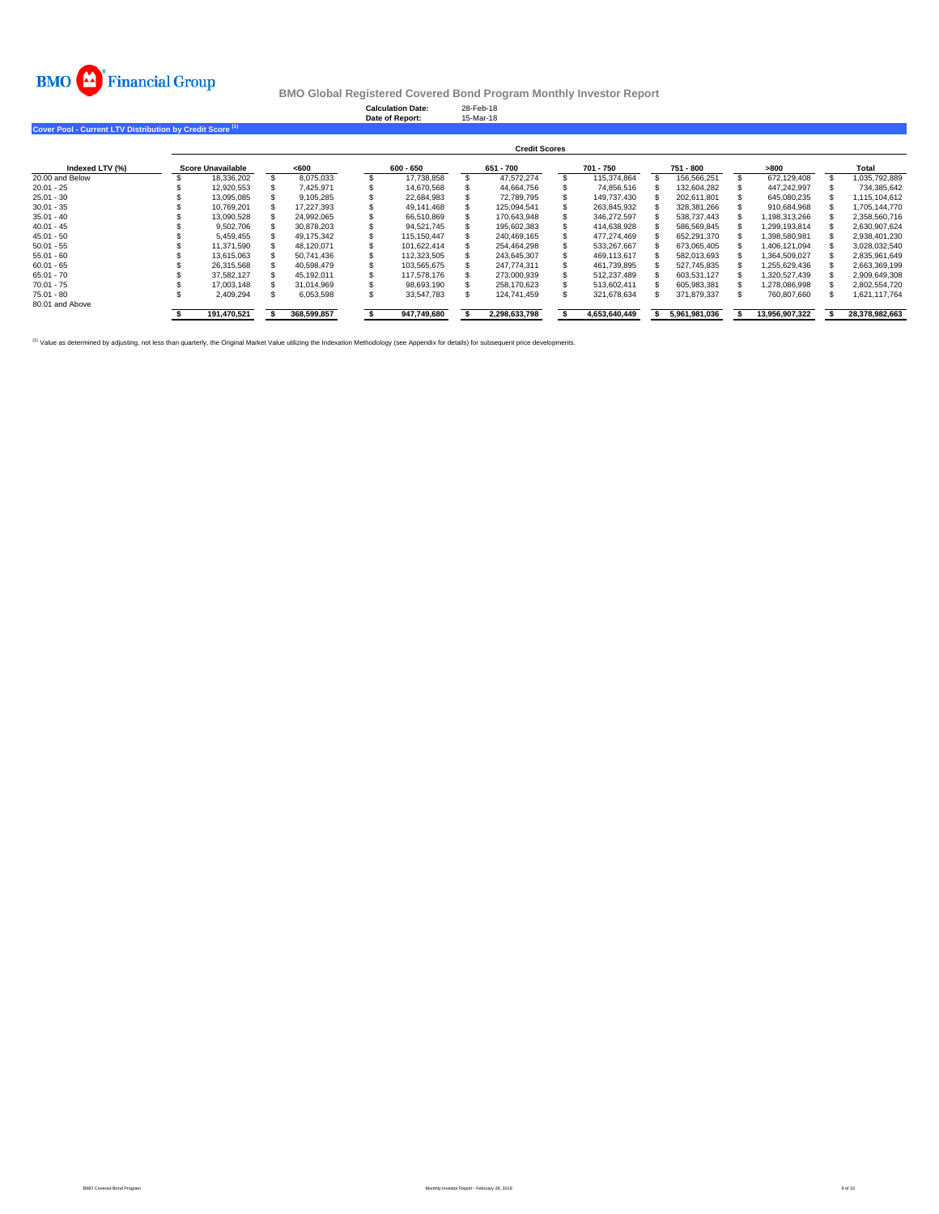

**Calculation Date:** 28-Feb-18 **Date of Report:** 15-Mar-18

**Cover Pool - Current LTV Distribution by Credit Score (1)**

|                 | <b>Credit Scores</b> |  |             |  |             |  |               |  |               |  |               |  |                |                |
|-----------------|----------------------|--|-------------|--|-------------|--|---------------|--|---------------|--|---------------|--|----------------|----------------|
| Indexed LTV (%) | Score Unavailable    |  | < 600       |  | 600 - 650   |  | 651 - 700     |  | 701 - 750     |  | 751 - 800     |  | >800           | Total          |
| 20.00 and Below | 18.336.202           |  | 8.075.033   |  | 17.738.858  |  | 47.572.274    |  | 115.374.864   |  | 156.566.251   |  | 672.129.408    | 1.035.792.889  |
| $20.01 - 25$    | 12.920.553           |  | 7.425.971   |  | 14.670.568  |  | 44.664.756    |  | 74.856.516    |  | 132.604.282   |  | 447.242.997    | 734.385.642    |
| $25.01 - 30$    | 13,095,085           |  | 9.105.285   |  | 22.684.983  |  | 72.789.795    |  | 149.737.430   |  | 202.611.801   |  | 645.080.235    | 1.115.104.612  |
| $30.01 - 35$    | 10.769.201           |  | 17.227.393  |  | 49.141.468  |  | 125.094.541   |  | 263.845.932   |  | 328.381.266   |  | 910.684.968    | 1.705.144.770  |
| $35.01 - 40$    | 13.090.528           |  | 24.992.065  |  | 66.510.869  |  | 170.643.948   |  | 346.272.597   |  | 538.737.443   |  | 1.198.313.266  | 2,358,560,716  |
| $40.01 - 45$    | 9.502.706            |  | 30.878.203  |  | 94.521.745  |  | 195.602.383   |  | 414.638.928   |  | 586.569.845   |  | 1.299.193.814  | 2.630.907.624  |
| $45.01 - 50$    | 5.459.455            |  | 49.175.342  |  | 115.150.447 |  | 240.469.165   |  | 477.274.469   |  | 652.291.370   |  | 1.398.580.981  | 2.938.401.230  |
| $50.01 - 55$    | 11.371.590           |  | 48.120.071  |  | 101.622.414 |  | 254.464.298   |  | 533.267.667   |  | 673,065,405   |  | 1.406.121.094  | 3,028,032,540  |
| $55.01 - 60$    | 13.615.063           |  | 50.741.436  |  | 112.323.505 |  | 243.645.307   |  | 469.113.617   |  | 582,013,693   |  | 1.364.509.027  | 2,835,961,649  |
| $60.01 - 65$    | 26.315.568           |  | 40.598.479  |  | 103.565.675 |  | 247.774.311   |  | 461.739.895   |  | 527,745,835   |  | 1.255.629.436  | 2.663.369.199  |
| $65.01 - 70$    | 37.582.127           |  | 45.192.011  |  | 117.578.176 |  | 273,000.939   |  | 512.237.489   |  | 603.531.127   |  | 1.320.527.439  | 2.909.649.308  |
| $70.01 - 75$    | 17.003.148           |  | 31.014.969  |  | 98.693.190  |  | 258.170.623   |  | 513.602.411   |  | 605.983.381   |  | 1.278.086.998  | 2,802,554,720  |
| $75.01 - 80$    | 2.409.294            |  | 6.053.598   |  | 33.547.783  |  | 124.741.459   |  | 321.678.634   |  | 371,879,337   |  | 760,807,660    | 1,621,117,764  |
| 80.01 and Above |                      |  |             |  |             |  |               |  |               |  |               |  |                |                |
|                 | 191,470,521          |  | 368,599,857 |  | 947,749,680 |  | 2,298,633,798 |  | 4,653,640,449 |  | 5,961,981,036 |  | 13,956,907,322 | 28,378,982,663 |

<sup>(1)</sup> Value as determined by adjusting, not less than quarterly, the Original Market Value utilizing the Indexation Methodology (see Appendix for details) for subsequent price developments.